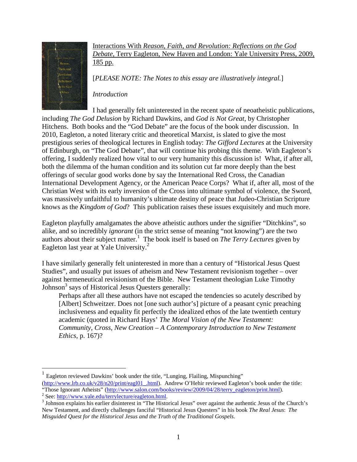

Interactions With *Reason, Faith, and Revolution: Reflections on the God Debate*, Terry Eagleton, New Haven and London: Yale University Press, 2009, 185 pp.

[*PLEASE NOTE: The Notes to this essay are illustratively integral.*]

*Introduction*

I had generally felt uninterested in the recent spate of neoatheistic publications, including *The God Delusion* by Richard Dawkins, and *God is Not Great*, by Christopher Hitchens. Both books and the "God Debate" are the focus of the book under discussion. In 2010, Eagleton, a noted literary critic and theoretical Marxist, is slated to give the most prestigious series of theological lectures in English today: *The Gifford Lectures* at the University of Edinburgh, on "The God Debate", that will continue his probing this theme. With Eagleton's offering, I suddenly realized how vital to our very humanity this discussion is! What, if after all, both the dilemma of the human condition and its solution cut far more deeply than the best offerings of secular good works done by say the International Red Cross, the Canadian International Development Agency, or the American Peace Corps? What if, after all, most of the Christian West with its early inversion of the Cross into ultimate symbol of violence, the Sword, was massively unfaithful to humanity's ultimate destiny of peace that Judeo-Christian Scripture knows as the *Kingdom of God*? This publication raises these issues exquisitely and much more.

Eagleton playfully amalgamates the above atheistic authors under the signifier "Ditchkins", so alike, and so incredibly *ignorant* (in the strict sense of meaning "not knowing") are the two authors about their subject matter.<sup>[1](#page-0-0)</sup> The book itself is based on *The Terry Lectures* given by Eagleton last year at Yale University.<sup>[2](#page-0-1)</sup>

I have similarly generally felt uninterested in more than a century of "Historical Jesus Quest Studies", and usually put issues of atheism and New Testament revisionism together – over against hermeneutical revisionism of the Bible. New Testament theologian Luke Timothy Johnson<sup>[3](#page-0-2)</sup> says of Historical Jesus Questers generally:

Perhaps after all these authors have not escaped the tendencies so acutely described by [Albert] Schweitzer. Does not [one such author's] picture of a peasant cynic preaching inclusiveness and equality fit perfectly the idealized ethos of the late twentieth century academic (quoted in Richard Hays' *The Moral Vision of the New Testament: Community, Cross, New Creation – A Contemporary Introduction to New Testament Ethics*, p. 167)?

<span id="page-0-1"></span>"Those Ignorant Atheists" (http://www.salon.com/books/review/2009/04/28/terry\_eagleton/print.html).

<span id="page-0-0"></span><sup>1</sup> Eagleton reviewed Dawkins' book under the title, "Lunging, Flailing, Mispunching" (http://www.lrb.co.uk/v28/n20/print/eagl01\_.html). Andrew O'Hehir reviewed Eagleton's book under the title:

<span id="page-0-2"></span><sup>&</sup>lt;sup>2</sup> See: http://www.yale.edu/terrylecture/eagleton.html.

<sup>&</sup>lt;sup>3</sup> Johnson explains his earlier disinterest in "The Historical Jesus" over against the authentic Jesus of the Church's New Testament, and directly challenges fanciful "Historical Jesus Questers" in his book *The Real Jesus*: *The Misguided Quest for the Historical Jesus and the Truth of the Traditional Gospels.*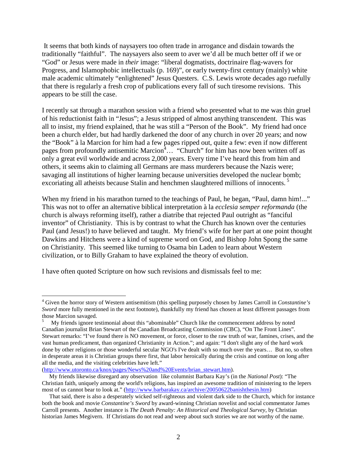It seems that both kinds of naysayers too often trade in arrogance and disdain towards the traditionally "faithful". The naysayers also seem to aver we'd all be much better off if we or "God" or Jesus were made in *their* image: "liberal dogmatists, doctrinaire flag-wavers for Progress, and Islamophobic intellectuals (p. 169)", or early twenty-first century (mainly) white male academic ultimately "enlightened" Jesus Questers. C.S. Lewis wrote decades ago ruefully that there is regularly a fresh crop of publications every fall of such tiresome revisions. This appears to be still the case.

I recently sat through a marathon session with a friend who presented what to me was thin gruel of his reductionist faith in "Jesus"; a Jesus stripped of almost anything transcendent. This was all to insist, my friend explained, that he was still a "Person of the Book". My friend had once been a church elder, but had hardly darkened the door of any church in over 20 years; and now the "Book" à la Marcion for him had a few pages ripped out, quite a few: even if now different pages from profoundly antisemitic Marcion<sup>4</sup>... "Church" for him has now been written off as only a great evil worldwide and across 2,000 years. Every time I've heard this from him and others, it seems akin to claiming all Germans are mass murderers because the Nazis were; savaging all institutions of higher learning because universities developed the nuclear bomb; excoriating all atheists because Stalin and henchmen slaughtered millions of innocents.<sup>[5](#page-1-1)</sup>

When my friend in his marathon turned to the teachings of Paul, he began, "Paul, damn him!..." This was not to offer an alternative biblical interpretation à la *ecclesia semper reformanda* (the church is always reforming itself), rather a diatribe that rejected Paul outright as "fanciful inventor" of Christianity. This is by contrast to what the Church has known over the centuries Paul (and Jesus!) to have believed and taught. My friend's wife for her part at one point thought Dawkins and Hitchens were a kind of supreme word on God, and Bishop John Spong the same on Christianity. This seemed like turning to Osama bin Laden to learn about Western civilization, or to Billy Graham to have explained the theory of evolution.

I have often quoted Scripture on how such revisions and dismissals feel to me:

(http://www.utoronto.ca/knox/pages/News%20and%20Events/brian\_stewart.htm).

<span id="page-1-0"></span><sup>4</sup> Given the horror story of Western antisemitism (this spelling purposely chosen by James Carroll in *Constantine's Sword* more fully mentioned in the next footnote), thankfully my friend has chosen at least different passages from those Marcion savaged.

<span id="page-1-1"></span><sup>5</sup> My friends ignore testimonial about this "abominable" Church like the commencement address by noted Canadian journalist Brian Stewart of the Canadian Broadcasting Commission (CBC), "On The Front Lines". Stewart remarks: "I've found there is NO movement, or force, closer to the raw truth of war, famines, crises, and the vast human predicament, than organized Christianity in Action."; and again: "I don't slight any of the hard work done by other religions or those wonderful secular NGO's I've dealt with so much over the years… But no, so often in desperate areas it is Christian groups there first, that labor heroically during the crisis and continue on long after all the media, and the visiting celebrities have left."

My friends likewise disregard any observation like columnist Barbara Kay's (in the *National Post*): "The Christian faith, uniquely among the world's religions, has inspired an awesome tradition of ministering to the lepers most of us cannot bear to look at." (http://www.barbarakay.ca/archive/20050622banishthesin.htm)

That said, there is also a desperately wicked self-righteous and violent dark side to the Church, which for instance both the book and movie *Constantine's Sword* by award-winning Christian novelist and social commentator James Carroll presents. Another instance is *The Death Penalty: An Historical and Theological Survey*, by Christian historian James Megivern. If Christians do not read and weep about such stories we are not worthy of the name.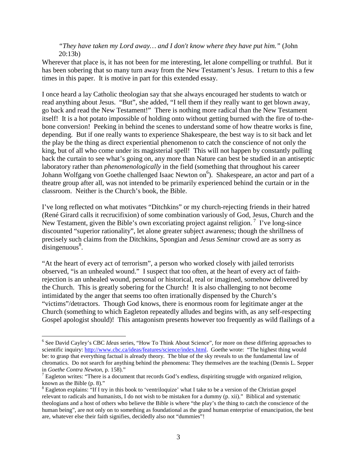*"They have taken my Lord away… and I don't know where they have put him."* (John 20:13b)

Wherever that place is, it has not been for me interesting, let alone compelling or truthful. But it has been sobering that so many turn away from the New Testament's Jesus. I return to this a few times in this paper. It is motive in part for this extended essay.

I once heard a lay Catholic theologian say that she always encouraged her students to watch or read anything about Jesus. "But", she added, "I tell them if they really want to get blown away, go back and read the New Testament!" There is nothing more radical than the New Testament itself! It is a hot potato impossible of holding onto without getting burned with the fire of to-thebone conversion! Peeking in behind the scenes to understand some of how theatre works is fine, depending. But if one really wants to experience Shakespeare, the best way is to sit back and let the play be the thing as direct experiential phenomenon to catch the conscience of not only the king, but of all who come under its magisterial spell! This will not happen by constantly pulling back the curtain to see what's going on, any more than Nature can best be studied in an antiseptic laboratory rather than *phenomenologically* in the field (something that throughout his career JohannWolfgang von Goethe challenged Isaac Newton on<sup>6</sup>). Shakespeare, an actor and part of a theatre group after all, was not intended to be primarily experienced behind the curtain or in the classroom. Neither is the Church's book, the Bible.

I've long reflected on what motivates "Ditchkins" or my church-rejecting friends in their hatred (René Girard calls it recrucifixion) of some combination variously of God, Jesus, Church and the New Testament, given the Bible's own excoriating project against religion.<sup>[7](#page-2-1)</sup> I've long-since discounted "superior rationality", let alone greater subject awareness; though the shrillness of precisely such claims from the Ditchkins, Spongian and *Jesus Seminar* crowd are as sorry as disingenuous<sup>8</sup>[.](#page-2-2)

"At the heart of every act of terrorism", a person who worked closely with jailed terrorists observed, "is an unhealed wound." I suspect that too often, at the heart of every act of faithrejection is an unhealed wound, personal or historical, real or imagined, somehow delivered by the Church. This is greatly sobering for the Church! It is also challenging to not become intimidated by the anger that seems too often irrationally dispensed by the Church's "victims"/detractors. Though God knows, there is enormous room for legitimate anger at the Church (something to which Eagleton repeatedly alludes and begins with, as any self-respecting Gospel apologist should)! This antagonism presents however too frequently as wild flailings of a

<span id="page-2-0"></span><sup>&</sup>lt;sup>6</sup> See David Cayley's CBC *Ideas* series, "How To Think About Science", for more on these differing approaches to scientific inquiry: http://www.cbc.ca/ideas/features/science/index.html. Goethe wrote: "The highest thing would be: to grasp that everything factual is already theory. The blue of the sky reveals to us the fundamental law of chromatics. Do not search for anything behind the phenomena: They themselves are the teaching (Dennis L. Sepper in *Goethe Contra Newton*, p. 158)."

<span id="page-2-1"></span> $<sup>7</sup>$  Eagleton writes: "There is a document that records God's endless, dispiriting struggle with organized religion,</sup> known as the Bible (p. 8)."

<span id="page-2-2"></span> $8$  Eagleton explains: "If I try in this book to 'ventriloquize' what I take to be a version of the Christian gospel relevant to radicals and humanists, I do not wish to be mistaken for a dummy (p. xii)." Biblical and systematic theologians and a host of others who believe the Bible is where "the play's the thing to catch the conscience of the human being", are not only on to something as foundational as the grand human enterprise of emancipation, the best are, whatever else their faith signifies, decidedly also not "dummies"!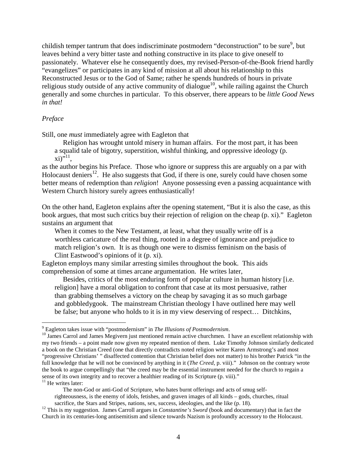childishtemper tantrum that does indiscriminate postmodern "deconstruction" to be sure<sup>9</sup>, but leaves behind a very bitter taste and nothing constructive in its place to give oneself to passionately. Whatever else he consequently does, my revised-Person-of-the-Book friend hardly "evangelizes" or participates in any kind of mission at all about his relationship to this Reconstructed Jesus or to the God of Same; rather he spends hundreds of hours in private religious study outside of any active community of dialogue<sup>[10](#page-3-1)</sup>, while railing against the Church generally and some churches in particular. To this observer, there appears to be *little Good News in that!*

## *Preface*

Still, one *must* immediately agree with Eagleton that

Religion has wrought untold misery in human affairs. For the most part, it has been a squalid tale of bigotry, superstition, wishful thinking, and oppressive ideology (p.  $\overline{x}$ i)<sup>,5[11](#page-3-2)</sup>,

as the author begins his Preface. Those who ignore or suppress this are arguably on a par with Holocaust deniers<sup>[12](#page-3-3)</sup>. He also suggests that God, if there is one, surely could have chosen some better means of redemption than *religion*! Anyone possessing even a passing acquaintance with Western Church history surely agrees enthusiastically!

On the other hand, Eagleton explains after the opening statement, "But it is also the case, as this book argues, that most such critics buy their rejection of religion on the cheap (p. xi)." Eagleton sustains an argument that

When it comes to the New Testament, at least, what they usually write off is a worthless caricature of the real thing, rooted in a degree of ignorance and prejudice to match religion's own. It is as though one were to dismiss feminism on the basis of Clint Eastwood's opinions of it (p. xi).

Eagleton employs many similar arresting similes throughout the book. This aids comprehension of some at times arcane argumentation. He writes later,

Besides, critics of the most enduring form of popular culture in human history [i.e. religion] have a moral obligation to confront that case at its most persuasive, rather than grabbing themselves a victory on the cheap by savaging it as so much garbage and gobbledygook. The mainstream Christian theology I have outlined here may well be false; but anyone who holds to it is in my view deserving of respect… Ditchkins,

<span id="page-3-2"></span><sup>11</sup> He writes later:

The non-God or anti-God of Scripture, who hates burnt offerings and acts of smug self-

righteousness, is the enemy of idols, fetishes, and graven images of all kinds – gods, churches, ritual sacrifice, the Stars and Stripes, nations, sex, success, ideologies, and the like (p. 18).

<span id="page-3-1"></span><span id="page-3-0"></span><sup>9</sup> Eagleton takes issue with "postmodernism" in *The Illusions of Postmodernism*.

<sup>&</sup>lt;sup>10</sup> James Carrol and James Megivern just mentioned remain active churchmen. I have an excellent relationship with my two friends – a point made now given my repeated mention of them. Luke Timothy Johnson similarly dedicated a book on the Christian Creed (one that directly contradicts noted religion writer Karen Armstrong's and most "progressive Christians' " disaffected contention that Christian belief does not matter) to his brother Patrick "in the full knowledge that he will not be convinced by anything in it (*The Creed*, p. viii)." Johnson on the contrary wrote the book to argue compellingly that "the creed may be the essential instrument needed for the church to regain a sense of its own integrity and to recover a healthier reading of its Scripture (p. viii)."

<span id="page-3-3"></span><sup>&</sup>lt;sup>12</sup> This is my suggestion. James Carroll argues in *Constantine's Sword* (book and documentary) that in fact the Church in its centuries-long antisemitism and silence towards Nazism is profoundly accessory to the Holocaust.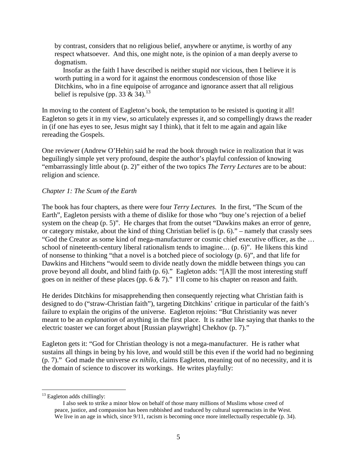by contrast, considers that no religious belief, anywhere or anytime, is worthy of any respect whatsoever. And this, one might note, is the opinion of a man deeply averse to dogmatism.

Insofar as the faith I have described is neither stupid nor vicious, then I believe it is worth putting in a word for it against the enormous condescension of those like Ditchkins, who in a fine equipoise of arrogance and ignorance assert that all religious beliefis repulsive (pp. 33  $\&$  34).<sup>13</sup>

In moving to the content of Eagleton's book, the temptation to be resisted is quoting it all! Eagleton so gets it in my view, so articulately expresses it, and so compellingly draws the reader in (if one has eyes to see, Jesus might say I think), that it felt to me again and again like rereading the Gospels.

One reviewer (Andrew O'Hehir) said he read the book through twice in realization that it was beguilingly simple yet very profound, despite the author's playful confession of knowing "embarrassingly little about (p. 2)" either of the two topics *The Terry Lectures* are to be about: religion and science.

# *Chapter 1: The Scum of the Earth*

The book has four chapters, as there were four *Terry Lectures.* In the first, "The Scum of the Earth", Eagleton persists with a theme of dislike for those who "buy one's rejection of a belief system on the cheap (p. 5)". He charges that from the outset "Dawkins makes an error of genre, or category mistake, about the kind of thing Christian belief is (p. 6)." – namely that crassly sees "God the Creator as some kind of mega-manufacturer or cosmic chief executive officer, as the … school of nineteenth-century liberal rationalism tends to imagine… (p. 6)". He likens this kind of nonsense to thinking "that a novel is a botched piece of sociology (p. 6)", and that life for Dawkins and Hitchens "would seem to divide neatly down the middle between things you can prove beyond all doubt, and blind faith (p. 6)." Eagleton adds: "[A]ll the most interesting stuff goes on in neither of these places (pp. 6 & 7)." I'll come to his chapter on reason and faith.

He derides Ditchkins for misapprehending then consequently rejecting what Christian faith is designed to do ("straw-Christian faith"), targeting Ditchkins' critique in particular of the faith's failure to explain the origins of the universe. Eagleton rejoins: "But Christianity was never meant to be an *explanation* of anything in the first place. It is rather like saying that thanks to the electric toaster we can forget about [Russian playwright] Chekhov (p. 7)."

Eagleton gets it: "God for Christian theology is not a mega-manufacturer. He is rather what sustains all things in being by his love, and would still be this even if the world had no beginning (p. 7)." God made the universe *ex nihilo*, claims Eagleton, meaning out of no necessity, and it is the domain of science to discover its workings. He writes playfully:

<span id="page-4-0"></span> $13$  Eagleton adds chillingly:

I also seek to strike a minor blow on behalf of those many millions of Muslims whose creed of peace, justice, and compassion has been rubbished and traduced by cultural supremacists in the West. We live in an age in which, since 9/11, racism is becoming once more intellectually respectable (p. 34).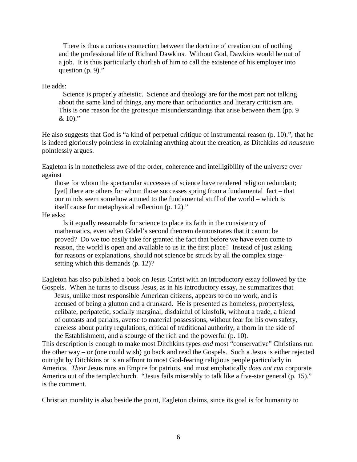There is thus a curious connection between the doctrine of creation out of nothing and the professional life of Richard Dawkins. Without God, Dawkins would be out of a job. It is thus particularly churlish of him to call the existence of his employer into question  $(p. 9)$ ."

## He adds:

Science is properly atheistic. Science and theology are for the most part not talking about the same kind of things, any more than orthodontics and literary criticism are. This is one reason for the grotesque misunderstandings that arise between them (pp. 9 & 10)."

He also suggests that God is "a kind of perpetual critique of instrumental reason (p. 10).", that he is indeed gloriously pointless in explaining anything about the creation, as Ditchkins *ad nauseum* pointlessly argues.

Eagleton is in nonetheless awe of the order, coherence and intelligibility of the universe over against

those for whom the spectacular successes of science have rendered religion redundant; [yet] there are others for whom those successes spring from a fundamental fact – that our minds seem somehow attuned to the fundamental stuff of the world – which is itself cause for metaphysical reflection (p. 12)."

## He asks:

Is it equally reasonable for science to place its faith in the consistency of mathematics, even when Gödel's second theorem demonstrates that it cannot be proved? Do we too easily take for granted the fact that before we have even come to reason, the world is open and available to us in the first place? Instead of just asking for reasons or explanations, should not science be struck by all the complex stagesetting which this demands (p. 12)?

Eagleton has also published a book on Jesus Christ with an introductory essay followed by the Gospels. When he turns to discuss Jesus, as in his introductory essay, he summarizes that

Jesus, unlike most responsible American citizens, appears to do no work, and is accused of being a glutton and a drunkard. He is presented as homeless, propertyless, celibate, peripatetic, socially marginal, disdainful of kinsfolk, without a trade, a friend of outcasts and pariahs, averse to material possessions, without fear for his own safety, careless about purity regulations, critical of traditional authority, a thorn in the side of the Establishment, and a scourge of the rich and the powerful (p. 10).

This description is enough to make most Ditchkins types *and* most "conservative" Christians run the other way – or (one could wish) go back and read the Gospels. Such a Jesus is either rejected outright by Ditchkins or is an affront to most God-fearing religious people particularly in America. *Their* Jesus runs an Empire for patriots, and most emphatically *does not run* corporate America out of the temple/church. "Jesus fails miserably to talk like a five-star general (p. 15)." is the comment.

Christian morality is also beside the point, Eagleton claims, since its goal is for humanity to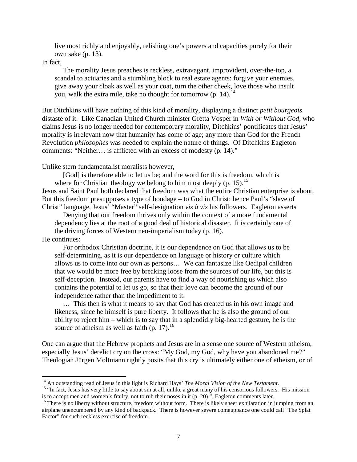live most richly and enjoyably, relishing one's powers and capacities purely for their own sake (p. 13).

In fact,

The morality Jesus preaches is reckless, extravagant, improvident, over-the-top, a scandal to actuaries and a stumbling block to real estate agents: forgive your enemies, give away your cloak as well as your coat, turn the other cheek, love those who insult you,walk the extra mile, take no thought for tomorrow  $(p. 14)$ .<sup>14</sup>

But Ditchkins will have nothing of this kind of morality, displaying a distinct *petit bourgeois* distaste of it. Like Canadian United Church minister Gretta Vosper in *With or Without God*, who claims Jesus is no longer needed for contemporary morality, Ditchkins' pontificates that Jesus' morality is irrelevant now that humanity has come of age; any more than God for the French Revolution *philosophes* was needed to explain the nature of things. Of Ditchkins Eagleton comments: "Neither… is afflicted with an excess of modesty (p. 14)."

Unlike stern fundamentalist moralists however,

[God] is therefore able to let us be; and the word for this is freedom, which is wherefor Christian theology we belong to him most deeply  $(p. 15)$ .<sup>15</sup>

Jesus and Saint Paul both declared that freedom was what the entire Christian enterprise is about. But this freedom presupposes a type of bondage – to God in Christ: hence Paul's "slave of Christ" language, Jesus' "Master" self-designation *vis à vis* his followers. Eagleton asserts

Denying that our freedom thrives only within the context of a more fundamental dependency lies at the root of a good deal of historical disaster. It is certainly one of the driving forces of Western neo-imperialism today (p. 16).

## He continues:

For orthodox Christian doctrine, it is our dependence on God that allows us to be self-determining, as it is our dependence on language or history or culture which allows us to come into our own as persons… We can fantasize like Oedipal children that we would be more free by breaking loose from the sources of our life, but this is self-deception. Instead, our parents have to find a way of nourishing us which also contains the potential to let us go, so that their love can become the ground of our independence rather than the impediment to it.

… This then is what it means to say that God has created us in his own image and likeness, since he himself is pure liberty. It follows that he is also the ground of our ability to reject him – which is to say that in a splendidly big-hearted gesture, he is the sourceof atheism as well as faith  $(p. 17)$ .<sup>16</sup>

One can argue that the Hebrew prophets and Jesus are in a sense one source of Western atheism, especially Jesus' derelict cry on the cross: "My God, my God, why have you abandoned me?" Theologian Jürgen Moltmann rightly posits that this cry is ultimately either one of atheism, or of

<span id="page-6-0"></span><sup>14</sup> An outstanding read of Jesus in this light is Richard Hays' *The Moral Vision of the New Testament*.

<span id="page-6-1"></span><sup>&</sup>lt;sup>15</sup> "In fact, Jesus has very little to say about sin at all, unlike a great many of his censorious followers. His mission is to accept men and women's frailty, not to rub their noses in it (p. 20).", Eagleton comments later.

<span id="page-6-2"></span><sup>&</sup>lt;sup>16</sup> There is no liberty without structure, freedom without form. There is likely sheer exhilaration in jumping from an airplane unencumbered by any kind of backpack. There is however severe comeuppance one could call "The Splat Factor" for such reckless exercise of freedom.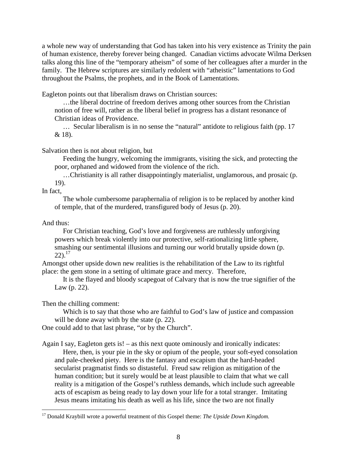a whole new way of understanding that God has taken into his very existence as Trinity the pain of human existence, thereby forever being changed. Canadian victims advocate Wilma Derksen talks along this line of the "temporary atheism" of some of her colleagues after a murder in the family. The Hebrew scriptures are similarly redolent with "atheistic" lamentations to God throughout the Psalms, the prophets, and in the Book of Lamentations.

Eagleton points out that liberalism draws on Christian sources:

…the liberal doctrine of freedom derives among other sources from the Christian notion of free will, rather as the liberal belief in progress has a distant resonance of Christian ideas of Providence.

… Secular liberalism is in no sense the "natural" antidote to religious faith (pp. 17 & 18).

Salvation then is not about religion, but

Feeding the hungry, welcoming the immigrants, visiting the sick, and protecting the poor, orphaned and widowed from the violence of the rich.

…Christianity is all rather disappointingly materialist, unglamorous, and prosaic (p. 19).

In fact,

The whole cumbersome paraphernalia of religion is to be replaced by another kind of temple, that of the murdered, transfigured body of Jesus (p. 20).

## And thus:

For Christian teaching, God's love and forgiveness are ruthlessly unforgiving powers which break violently into our protective, self-rationalizing little sphere, smashing our sentimental illusions and turning our world brutally upside down (p.  $22$ ).<sup>[17](#page-7-0)</sup>

Amongst other upside down new realities is the rehabilitation of the Law to its rightful place: the gem stone in a setting of ultimate grace and mercy. Therefore,

It is the flayed and bloody scapegoat of Calvary that is now the true signifier of the Law (p. 22).

Then the chilling comment:

Which is to say that those who are faithful to God's law of justice and compassion will be done away with by the state (p. 22).

One could add to that last phrase, "or by the Church".

Again I say, Eagleton gets is! – as this next quote ominously and ironically indicates:

Here, then, is your pie in the sky or opium of the people, your soft-eyed consolation and pale-cheeked piety. Here is the fantasy and escapism that the hard-headed secularist pragmatist finds so distasteful. Freud saw religion as mitigation of the human condition; but it surely would be at least plausible to claim that what we call reality is a mitigation of the Gospel's ruthless demands, which include such agreeable acts of escapism as being ready to lay down your life for a total stranger. Imitating Jesus means imitating his death as well as his life, since the two are not finally

<span id="page-7-0"></span><sup>17</sup> Donald Kraybill wrote a powerful treatment of this Gospel theme: *The Upside Down Kingdom.*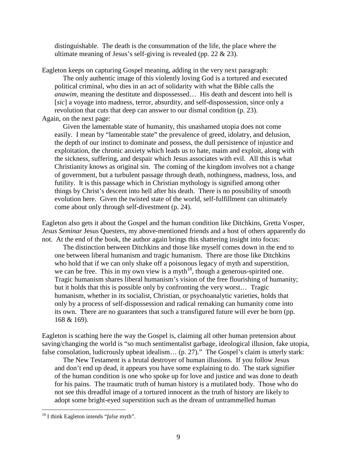distinguishable. The death is the consummation of the life, the place where the ultimate meaning of Jesus's self-giving is revealed (pp.  $22 \& 23$ ).

Eagleton keeps on capturing Gospel meaning, adding in the very next paragraph: The only authentic image of this violently loving God is a tortured and executed political criminal, who dies in an act of solidarity with what the Bible calls the *anawim*, meaning the destitute and dispossessed… His death and descent into hell is [*sic*] a voyage into madness, terror, absurdity, and self-dispossession, since only a revolution that cuts that deep can answer to our dismal condition (p. 23). Again, on the next page:

Given the lamentable state of humanity, this unashamed utopia does not come easily. I mean by "lamentable state" the prevalence of greed, idolatry, and delusion, the depth of our instinct to dominate and possess, the dull persistence of injustice and exploitation, the chronic anxiety which leads us to hate, maim and exploit, along with the sickness, suffering, and despair which Jesus associates with evil. All this is what Christianity knows as original sin. The coming of the kingdom involves not a change of government, but a turbulent passage through death, nothingness, madness, loss, and futility. It is this passage which in Christian mythology is signified among other things by Christ's descent into hell after his death. There is no possibility of smooth evolution here. Given the twisted state of the world, self-fulfillment can ultimately come about only through self-divestment (p. 24).

Eagleton also gets it about the Gospel and the human condition like Ditchkins, Gretta Vosper, *Jesus Seminar* Jesus Questers, my above-mentioned friends and a host of others apparently do not. At the end of the book, the author again brings this shattering insight into focus:

The distinction between Ditchkins and those like myself comes down in the end to one between liberal humanism and tragic humanism. There are those like Ditchkins who hold that if we can only shake off a poisonous legacy of myth and superstition, we can be free. This in my own view is a myth<sup>[18](#page-8-0)</sup>, though a generous-spirited one. Tragic humanism shares liberal humanism's vision of the free flourishing of humanity; but it holds that this is possible only by confronting the very worst… Tragic humanism, whether in its socialist, Christian, or psychoanalytic varieties, holds that only by a process of self-dispossession and radical remaking can humanity come into its own. There are no guarantees that such a transfigured future will ever be born (pp. 168 & 169).

Eagleton is scathing here the way the Gospel is, claiming all other human pretension about saving/changing the world is "so much sentimentalist garbage, ideological illusion, fake utopia, false consolation, ludicrously upbeat idealism... (p. 27)." The Gospel's claim is utterly stark:

The New Testament is a brutal destroyer of human illusions. If you follow Jesus and don't end up dead, it appears you have some explaining to do. The stark signifier of the human condition is one who spoke up for love and justice and was done to death for his pains. The traumatic truth of human history is a mutilated body. Those who do not see this dreadful image of a tortured innocent as the truth of history are likely to adopt some bright-eyed superstition such as the dream of untrammelled human

<span id="page-8-0"></span><sup>18</sup> I think Eagleton intends "*false* myth".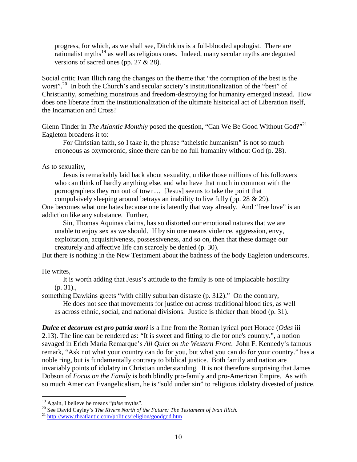progress, for which, as we shall see, Ditchkins is a full-blooded apologist. There are rationalist myths<sup>[19](#page-9-0)</sup> as well as religious ones. Indeed, many secular myths are degutted versions of sacred ones (pp. 27 & 28).

Social critic Ivan Illich rang the changes on the theme that "the corruption of the best is the worst"<sup>[20](#page-9-1)</sup> In both the Church's and secular society's institutionalization of the "best" of Christianity, something monstrous and freedom-destroying for humanity emerged instead. How does one liberate from the institutionalization of the ultimate historical act of Liberation itself, the Incarnation and Cross?

Glenn Tinder in *The Atlantic Monthly* posed the question, "Can We Be Good Without God?"<sup>[21](#page-9-2)</sup> Eagleton broadens it to:

For Christian faith, so I take it, the phrase "atheistic humanism" is not so much erroneous as oxymoronic, since there can be no full humanity without God (p. 28).

## As to sexuality,

Jesus is remarkably laid back about sexuality, unlike those millions of his followers who can think of hardly anything else, and who have that much in common with the pornographers they run out of town… [Jesus] seems to take the point that

compulsively sleeping around betrays an inability to live fully (pp. 28 & 29). One becomes what one hates because one is latently that way already. And "free love" is an addiction like any substance. Further,

Sin, Thomas Aquinas claims, has so distorted our emotional natures that we are unable to enjoy sex as we should. If by sin one means violence, aggression, envy, exploitation, acquisitiveness, possessiveness, and so on, then that these damage our creaturely and affective life can scarcely be denied (p. 30).

But there is nothing in the New Testament about the badness of the body Eagleton underscores.

He writes,

It is worth adding that Jesus's attitude to the family is one of implacable hostility  $(p. 31)$ .,

something Dawkins greets "with chilly suburban distaste (p. 312)." On the contrary,

He does not see that movements for justice cut across traditional blood ties, as well as across ethnic, social, and national divisions. Justice is thicker than blood (p. 31).

*Dulce et decorum est pro patria mori* is a line from the Roman lyrical poet Horace (*Odes* iii 2.13). The line can be rendered as: "It is sweet and fitting to die for one's country.", a notion savaged in Erich Maria Remarque's *All Quiet on the Western Front*. John F. Kennedy's famous remark, "Ask not what your country can do for you, but what you can do for your country." has a noble ring, but is fundamentally contrary to biblical justice. Both family and nation are invariably points of idolatry in Christian understanding. It is not therefore surprising that James Dobson of *Focus on the Family* is both blindly pro-family and pro-American Empire. As with so much American Evangelicalism, he is "sold under sin" to religious idolatry divested of justice.

<span id="page-9-0"></span><sup>19</sup> Again, I believe he means "*false* myths".

<span id="page-9-1"></span><sup>20</sup> See David Cayley's *The Rivers North of the Future: The Testament of Ivan Illich.*

<span id="page-9-2"></span><sup>21</sup> http://www.theatlantic.com/politics/religion/goodgod.htm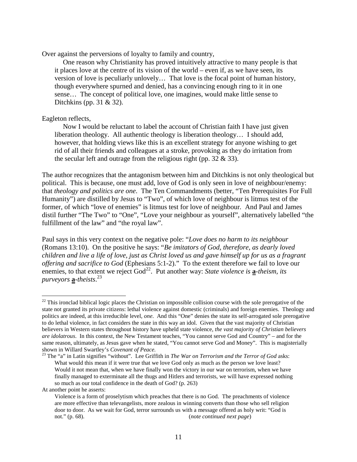Over against the perversions of loyalty to family and country,

One reason why Christianity has proved intuitively attractive to many people is that it places love at the centre of its vision of the world – even if, as we have seen, its version of love is peculiarly unlovely… That love is the focal point of human history, though everywhere spurned and denied, has a convincing enough ring to it in one sense… The concept of political love, one imagines, would make little sense to Ditchkins (pp. 31 & 32).

## Eagleton reflects,

Now I would be reluctant to label the account of Christian faith I have just given liberation theology. All authentic theology is liberation theology… I should add, however, that holding views like this is an excellent strategy for anyone wishing to get rid of all their friends and colleagues at a stroke, provoking as they do irritation from the secular left and outrage from the religious right (pp.  $32 \& 33$ ).

The author recognizes that the antagonism between him and Ditchkins is not only theological but political. This is because, one must add, love of God is only seen in love of neighbour/enemy: that *theology and politics are one*. The Ten Commandments (better, "Ten Prerequisites For Full Humanity") are distilled by Jesus to "Two", of which love of neighbour is litmus test of the former, of which "love of enemies" is litmus test for love of neighbour*.* And Paul and James distil further "The Two" to "One", "Love your neighbour as yourself", alternatively labelled "the fulfillment of the law" and "the royal law".

Paul says in this very context on the negative pole: "*Love does no harm to its neighbour* (Romans 13:10). On the positive he says: "*Be imitators of God, therefore, as dearly loved children and live a life of love, just as Christ loved us and gave himself up for us as a fragrant offering and sacrifice to God* (Ephesians 5:1-2)." To the extent therefore we fail to love our enemies,to that extent we reject God<sup>22</sup>. Put another way: *State violence is* a-theism, its *purveyors* **a***-theists*. [23](#page-10-0)

At another point he asserts:

<span id="page-10-0"></span> $22$  This ironclad biblical logic places the Christian on impossible collision course with the sole prerogative of the state not granted its private citizens: lethal violence against domestic (criminals) and foreign enemies. Theology and politics are indeed, at this irreducible level, *one*. And this "One" denies the state its self-arrogated sole prerogative to do lethal violence, in fact considers the state in this way an idol. Given that the vast majority of Christian believers in Western states throughout history have upheld state violence, *the vast majority of Christian believers are idolatrous*. In this context, the New Testament teaches, "You cannot serve God and Country" – and for the same reason, ultimately, as Jesus gave when he stated, "You cannot serve God and Money". This is magisterially shown in Willard Swartley's *Covenant of Peace.*

<sup>23</sup> The "a" in Latin signifies "without". Lee Griffith in *The War on Terrorism and the Terror of God* asks: What would this mean if it were true that we love God only as much as the person we love least? Would it not mean that, when we have finally won the victory in our war on terrorism, when we have finally managed to exterminate all the thugs and Hitlers and terrorists, we will have expressed nothing so much as our total confidence in the death of God? (p. 263)

Violence is a form of proselytism which preaches that there is no God. The preachments of violence are more effective than televangelists, more zealous in winning converts than those who sell religion door to door. As we wait for God, terror surrounds us with a message offered as holy writ: "God is not." (p. 68). (*note continued next page*)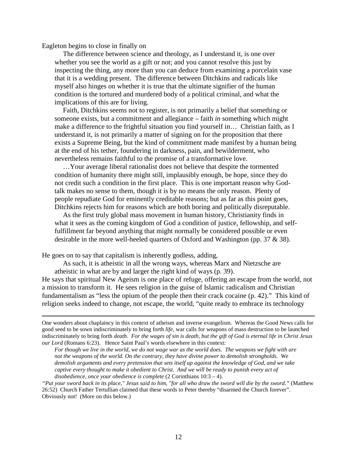Eagleton begins to close in finally on

The difference between science and theology, as I understand it, is one over whether you see the world as a gift or not; and you cannot resolve this just by inspecting the thing, any more than you can deduce from examining a porcelain vase that it is a wedding present. The difference between Ditchkins and radicals like myself also hinges on whether it is true that the ultimate signifier of the human condition is the tortured and murdered body of a political criminal, and what the implications of this are for living.

Faith, Ditchkins seems not to register, is not primarily a belief that something or someone exists, but a commitment and allegiance – faith *in* something which might make a difference to the frightful situation you find yourself in… Christian faith, as I understand it, is not primarily a matter of signing on for the proposition that there exists a Supreme Being, but the kind of commitment made manifest by a human being at the end of his tether, foundering in darkness, pain, and bewilderment, who nevertheless remains faithful to the promise of a transformative love.

…Your average liberal rationalist does not believe that despite the tormented condition of humanity there might still, implausibly enough, be hope, since they do not credit such a condition in the first place. This is one important reason why Godtalk makes no sense to them, though it is by no means the only reason. Plenty of people repudiate God for eminently creditable reasons; but as far as this point goes, Ditchkins rejects him for reasons which are both boring and politically disreputable.

As the first truly global mass movement in human history, Christianity finds in what it sees as the coming kingdom of God a condition of justice, fellowship, and selffulfillment far beyond anything that might normally be considered possible or even desirable in the more well-heeled quarters of Oxford and Washington (pp. 37 & 38).

He goes on to say that capitalism is inherently godless, adding,

As such, it is atheistic in all the wrong ways, whereas Marx and Nietzsche are atheistic in what are by and larger the right kind of ways (p. 39).

He says that spiritual New Ageism is one place of refuge, offering an escape from the world, not a mission to transform it. He sees religion in the guise of Islamic radicalism and Christian fundamentalism as "less the opium of the people then their crack cocaine (p. 42)." This kind of religion seeks indeed to change, not escape, the world, "quite ready to embrace its technology

*"Put your sword back in its place," Jesus said to him, "for all who draw the sword will die by the sword."* (Matthew 26:52) Church Father Tertullian claimed that these words to Peter thereby "disarmed the Church forever". Obviously not! (More on this below.)

One wonders about chaplaincy in this context of atheism and inverse evangelism. Whereas the Good News calls for good seed to be sown indiscriminately to bring forth *life*, war calls for weapons of mass destruction to be launched indiscriminately to bring forth *death*. *For the wages of sin is death, but the gift of God is eternal life in Christ Jesus our Lord* (Romans 6:23). Hence Saint Paul's words elsewhere in this context:

*For though we live in the world, we do not wage war as the world does. The weapons we fight with are not the weapons of the world. On the contrary, they have divine power to demolish strongholds. We demolish arguments and every pretension that sets itself up against the knowledge of God, and we take captive every thought to make it obedient to Christ. And we will be ready to punish every act of disobedience, once your obedience is complete* (2 Corinthians 10:3 – 4).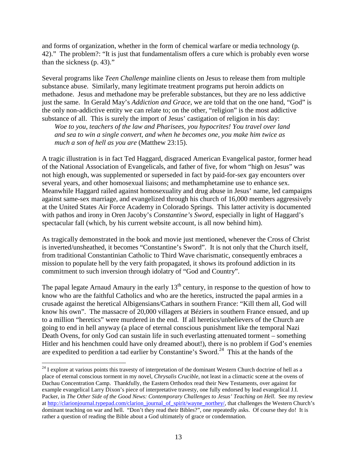and forms of organization, whether in the form of chemical warfare or media technology (p. 42)." The problem?: "It is just that fundamentalism offers a cure which is probably even worse than the sickness (p. 43)."

Several programs like *Teen Challenge* mainline clients on Jesus to release them from multiple substance abuse. Similarly, many legitimate treatment programs put heroin addicts on methadone. Jesus and methadone may be preferable substances, but they are no less addictive just the same. In Gerald May's *Addiction and Grace*, we are told that on the one hand, "God" is the only non-addictive entity we can relate to; on the other, "religion" is the most addictive substance of all. This is surely the import of Jesus' castigation of religion in his day:

*Woe to you, teachers of the law and Pharisees, you hypocrites! You travel over land and sea to win a single convert, and when he becomes one, you make him twice as much a son of hell as you are* (Matthew 23:15).

A tragic illustration is in fact Ted Haggard, disgraced American Evangelical pastor, former head of the National Association of Evangelicals, and father of five, for whom "high on Jesus" was not high enough, was supplemented or superseded in fact by paid-for-sex gay encounters over several years, and other homosexual liaisons; and methamphetamine use to enhance sex. Meanwhile Haggard railed against homosexuality and drug abuse in Jesus' name, led campaigns against same-sex marriage, and evangelized through his church of 16,000 members aggressively at the United States Air Force Academy in Colorado Springs. This latter activity is documented with pathos and irony in Oren Jacoby's *Constantine's Sword*, especially in light of Haggard's spectacular fall (which, by his current website account, is all now behind him).

As tragically demonstrated in the book and movie just mentioned, whenever the Cross of Christ is inverted/unsheathed, it becomes "Constantine's Sword". It is not only that the Church itself, from traditional Constantinian Catholic to Third Wave charismatic, consequently embraces a mission to populate hell by the very faith propagated, it shows its profound addiction in its commitment to such inversion through idolatry of "God and Country".

The papal legate Arnaud Amaury in the early  $13<sup>th</sup>$  century, in response to the question of how to know who are the faithful Catholics and who are the heretics, instructed the papal armies in a crusade against the heretical Albigensians/Cathars in southern France: "Kill them all, God will know his own". The massacre of 20,000 villagers at Béziers in southern France ensued, and up to a million "heretics" were murdered in the end. If all heretics/unbelievers of the Church are going to end in hell anyway (a place of eternal conscious punishment like the temporal Nazi Death Ovens, for only God can sustain life in such everlasting attenuated torment – something Hitler and his henchmen could have only dreamed about!), there is no problem if God's enemies are expedited to perdition a tad earlier by Constantine's Sword.<sup>[24](#page-12-0)</sup> This at the hands of the

<span id="page-12-0"></span> $^{24}$  I explore at various points this travesty of interpretation of the dominant Western Church doctrine of hell as a place of eternal conscious torment in my novel, *Chrysalis Crucible*, not least in a climactic scene at the ovens of Dachau Concentration Camp. Thankfully, the Eastern Orthodox read their New Testaments, over against for example evangelical Larry Dixon's piece of interpretative travesty, one fully endorsed by lead evangelical J.I. Packer, in *The Other Side of the Good News: Contemporary Challenges to Jesus' Teaching on Hell.* See my review at http://clarionjournal.typepad.com/clarion\_journal\_of\_spirit/wayne\_northey/, that challenges the Western Church's dominant teaching on war and hell. "Don't they read their Bibles?", one repeatedly asks. Of course they do! It is rather a question of reading the Bible about a God ultimately of grace or condemnation.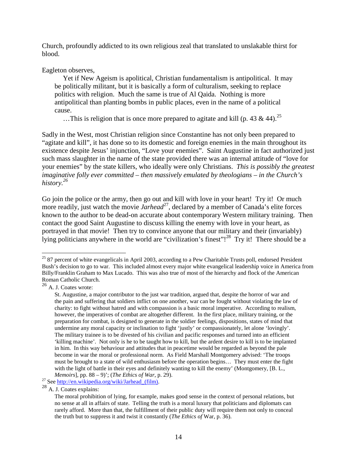Church, profoundly addicted to its own religious zeal that translated to unslakable thirst for blood.

## Eagleton observes,

Yet if New Ageism is apolitical, Christian fundamentalism is antipolitical. It may be politically militant, but it is basically a form of culturalism, seeking to replace politics with religion. Much the same is true of Al Qaida. Nothing is more antipolitical than planting bombs in public places, even in the name of a political cause.

...This is religion that is once more prepared to agitate and kill (p. 43 & 44).<sup>25</sup>

Sadly in the West, most Christian religion since Constantine has not only been prepared to "agitate and kill", it has done so to its domestic and foreign enemies in the main throughout its existence despite Jesus' injunction, "Love your enemies". Saint Augustine in fact authorized just such mass slaughter in the name of the state provided there was an internal attitude of "love for your enemies" by the state killers, who ideally were only Christians. *This is possibly the greatest imaginative folly ever committed – then massively emulated by theologians – in the Church's history.[26](#page-13-1)*

Go join the police or the army, then go out and kill with love in your heart! Try it! Or much more readily, just watch the movie *Jarhead*<sup>[27](#page-13-2)</sup>, declared by a member of Canada's elite forces known to the author to be dead-on accurate about contemporary Western military training. Then contact the good Saint Augustine to discuss killing the enemy with love in your heart, as portrayed in that movie! Then try to convince anyone that our military and their (invariably) lying politicians anywhere in the world are "civilization's finest"!<sup>[28](#page-13-3)</sup> Try it! There should be a

<span id="page-13-3"></span> $28$  A. J. Coates explains:

<span id="page-13-0"></span> $25$  87 percent of white evangelicals in April 2003, according to a Pew Charitable Trusts poll, endorsed President Bush's decision to go to war. This included almost every major white evangelical leadership voice in America from Billy/Franklin Graham to Max Lucado. This was also true of most of the hierarchy and flock of the American Roman Catholic Church.

<span id="page-13-1"></span> $26$  A. J. Coates wrote:

St. Augustine, a major contributor to the just war tradition, argued that, despite the horror of war and the pain and suffering that soldiers inflict on one another, war can be fought without violating the law of charity: to fight without hatred and with compassion is a basic moral imperative. According to realism, however, the imperatives of combat are altogether different. In the first place, military training, or the preparation for combat, is designed to generate in the soldier feelings, dispositions, states of mind that undermine any moral capacity or inclination to fight 'justly' or compassionately, let alone 'lovingly'. The military trainee is to be divested of his civilian and pacific responses and turned into an efficient 'killing machine'. Not only is he to be taught how to kill, but the ardent desire to kill is to be implanted in him. In this way behaviour and attitudes that in peacetime would be regarded as beyond the pale become in war the moral or professional norm. As Field Marshall Montgomery advised: 'The troops must be brought to a state of wild enthusiasm before the operation begins… They must enter the fight with the light of battle in their eyes and definitely wanting to kill the enemy' (Montgomery, [B. L., *Memoirs*], pp. 88 – 9)'; (*The Ethics of War*, p. 29).

<span id="page-13-2"></span><sup>&</sup>lt;sup>27</sup> See http://<u>en.wikipedia.org/wiki/Jarhead (film)</u>.

The moral prohibition of lying, for example, makes good sense in the context of personal relations, but no sense at all in affairs of state. Telling the truth is a moral luxury that politicians and diplomats can rarely afford. More than that, the fulfillment of their public duty will require them not only to conceal the truth but to suppress it and twist it constantly (*The Ethics of* War, p. 36).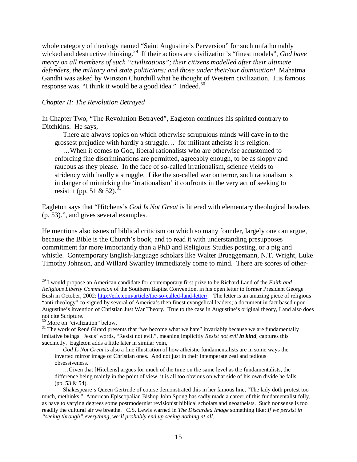whole category of theology named "Saint Augustine's Perversion" for such unfathomably wicked and destructive thinking.<sup>[29](#page-14-0)</sup> If their actions are civilization's "finest models", *God have mercy on all members of such "civilizations"; their citizens modelled after their ultimate defenders, the military and state politicians; and those under their/our domination!* Mahatma Gandhi was asked by Winston Churchill what he thought of Western civilization. His famous response was, "I think it would be a good idea." Indeed. $30$ 

## *Chapter II: The Revolution Betrayed*

In Chapter Two, "The Revolution Betrayed", Eagleton continues his spirited contrary to Ditchkins. He says,

There are always topics on which otherwise scrupulous minds will cave in to the grossest prejudice with hardly a struggle… for militant atheists it is religion.

…When it comes to God, liberal rationalists who are otherwise accustomed to enforcing fine discriminations are permitted, agreeably enough, to be as sloppy and raucous as they please. In the face of so-called irrationalism, science yields to stridency with hardly a struggle. Like the so-called war on terror, such rationalism is in danger of mimicking the 'irrationalism' it confronts in the very act of seeking to resistit (pp. 51 & 52).<sup>31</sup>

Eagleton says that "Hitchens's *God Is Not Great* is littered with elementary theological howlers (p. 53).", and gives several examples.

He mentions also issues of biblical criticism on which so many founder, largely one can argue, because the Bible is the Church's book, and to read it with understanding presupposes commitment far more importantly than a PhD and Religious Studies posting, or a pig and whistle. Contemporary English-language scholars like Walter Brueggemann, N.T. Wright, Luke Timothy Johnson, and Willard Swartley immediately come to mind. There are scores of other-

<span id="page-14-0"></span><sup>29</sup> I would propose an American candidate for contemporary first prize to be Richard Land of the *Faith and Religious Liberty Commission* of the Southern Baptist Convention, in his open letter to former President George Bush in October, 2002: http://erlc.com/article/the-so-called-land-letter/. The letter is an amazing piece of religious "anti-theology" co-signed by several of America's then finest evangelical leaders; a document in fact based upon Augustine's invention of Christian Just War Theory. True to the case in Augustine's original theory, Land also does not cite Scripture.

<span id="page-14-2"></span><span id="page-14-1"></span><sup>&</sup>lt;sup>30</sup> More on "civilization" below.

 $31$  The work of René Girard presents that "we become what we hate" invariably because we are fundamentally imitative beings. Jesus' words, "Resist not evil.", meaning implicitly *Resist not evil in kind*, captures this succinctly. Eagleton adds a little later in similar vein,

*God Is Not Great* is also a fine illustration of how atheistic fundamentalists are in some ways the inverted mirror image of Christian ones. And not just in their intemperate zeal and tedious obsessiveness.

<sup>…</sup>Given that [Hitchens] argues for much of the time on the same level as the fundamentalists, the difference being mainly in the point of view, it is all too obvious on what side of his own divide he falls (pp. 53 & 54).

Shakespeare's Queen Gertrude of course demonstrated this in her famous line, "The lady doth protest too much, methinks." American Episcopalian Bishop John Spong has sadly made a career of this fundamentalist folly, as have to varying degrees some postmodernist revisionist biblical scholars and neoatheists. Such nonsense is too readily the cultural air we breathe. C.S. Lewis warned in *The Discarded Image* something like: *If we persist in "seeing through" everything, we'll probably end up seeing nothing at all.*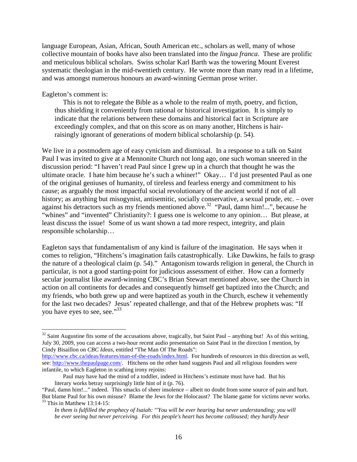language European, Asian, African, South American etc., scholars as well, many of whose collective mountain of books have also been translated into the *lingua franca*. These are prolific and meticulous biblical scholars. Swiss scholar Karl Barth was the towering Mount Everest systematic theologian in the mid-twentieth century. He wrote more than many read in a lifetime, and was amongst numerous honours an award-winning German prose writer.

Eagleton's comment is:

This is not to relegate the Bible as a whole to the realm of myth, poetry, and fiction, thus shielding it conveniently from rational or historical investigation. It is simply to indicate that the relations between these domains and historical fact in Scripture are exceedingly complex, and that on this score as on many another, Hitchens is hairraisingly ignorant of generations of modern biblical scholarship (p. 54).

We live in a postmodern age of easy cynicism and dismissal. In a response to a talk on Saint Paul I was invited to give at a Mennonite Church not long ago, one such woman sneered in the discussion period: "I haven't read Paul since I grew up in a church that thought he was the ultimate oracle. I hate him because he's such a whiner!" Okay… I'd just presented Paul as one of the original geniuses of humanity, of tireless and fearless energy and commitment to his cause; as arguably the most impactful social revolutionary of the ancient world if not of all history; as anything but misogynist, antisemitic, socially conservative, a sexual prude, etc. – over against his detractors such as my friends mentioned above.<sup>[32](#page-15-0)</sup> "Paul, damn him!...", because he "whines" and "invented" Christianity?: I guess one is welcome to any opinion… But please, at least discuss the issue! Some of us want shown a tad more respect, integrity, and plain responsible scholarship…

Eagleton says that fundamentalism of any kind is failure of the imagination. He says when it comes to religion, "Hitchens's imagination fails catastrophically. Like Dawkins, he fails to grasp the nature of a theological claim (p. 54)." Antagonism towards religion in general, the Church in particular, is not a good starting-point for judicious assessment of either. How can a formerly secular journalist like award-winning CBC's Brian Stewart mentioned above, see the Church in action on all continents for decades and consequently himself get baptized into the Church; and my friends, who both grew up and were baptized as youth in the Church, eschew it vehemently for the last two decades? Jesus' repeated challenge, and that of the Hebrew prophets was: "If youhave eyes to see, see.["](#page-15-1)<sup>33</sup>

<span id="page-15-0"></span> $32$  Saint Augustine fits some of the accusations above, tragically, but Saint Paul – anything but! As of this writing, July 30, 2009, you can access a two-hour recent audio presentation on Saint Paul in the direction I mention, by Cindy Bisaillon on *CBC Ideas*, entitled "The Man Of The Roads":

http://www.cbc.ca/ideas/features/man-of-the-roads/index.html. For hundreds of resources in this direction as well, see: http://www.thepaulpage.com/. Hitchens on the other hand suggests Paul and all religious founders were infantile, to which Eagleton in scathing irony rejoins:

Paul may have had the mind of a toddler, indeed in Hitchens's estimate must have had. But his literary works betray surprisingly little hint of it (p. 76).

<span id="page-15-1"></span><sup>&</sup>quot;Paul, damn him!..." indeed. This smacks of sheer insolence – albeit no doubt from some source of pain and hurt. But blame Paul for his own misuse? Blame the Jews for the Holocaust? The blame game for victims never works.  $33$  This in Matthew 13:14-15:

*In them is fulfilled the prophecy of Isaiah: "'You will be ever hearing but never understanding; you will be ever seeing but never perceiving. For this people's heart has become calloused; they hardly hear*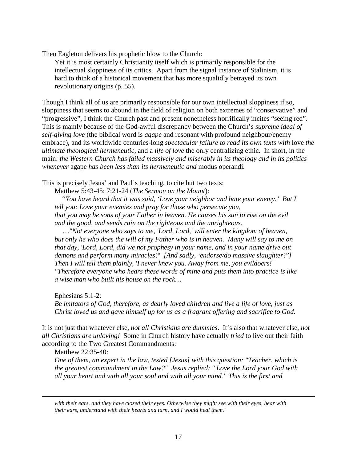Then Eagleton delivers his prophetic blow to the Church:

Yet it is most certainly Christianity itself which is primarily responsible for the intellectual sloppiness of its critics. Apart from the signal instance of Stalinism, it is hard to think of a historical movement that has more squalidly betrayed its own revolutionary origins (p. 55).

Though I think all of us are primarily responsible for our own intellectual sloppiness if so, sloppiness that seems to abound in the field of religion on both extremes of "conservative" and "progressive", I think the Church past and present nonetheless horrifically incites "seeing red". This is mainly because of the God-awful discrepancy between the Church's *supreme ideal of self-giving love* (the biblical word is *agape* and resonant with profound neighbour/enemy embrace), and its worldwide centuries-long *spectacular failure to read its own texts with* love *the ultimate theological hermeneutic*, and a *life of love* the only centralizing ethic. In short, in the main: *the Western Church has failed massively and miserably in its theology and in its politics whenever* agape *has been less than its hermeneutic and* modus operandi*.*

This is precisely Jesus' and Paul's teaching, to cite but two texts:

Matthew 5:43-45; 7:21-24 (*The Sermon on the Mount*):

*"You have heard that it was said, 'Love your neighbor and hate your enemy.' But I tell you: Love your enemies and pray for those who persecute you, that you may be sons of your Father in heaven. He causes his sun to rise on the evil and the good, and sends rain on the righteous and the unrighteous.*

*…"Not everyone who says to me, 'Lord, Lord,' will enter the kingdom of heaven, but only he who does the will of my Father who is in heaven. Many will say to me on that day, 'Lord, Lord, did we not prophesy in your name, and in your name drive out demons and perform many miracles?' [And sadly, 'endorse/do massive slaughter?'] Then I will tell them plainly, 'I never knew you. Away from me, you evildoers!' "Therefore everyone who hears these words of mine and puts them into practice is like a wise man who built his house on the rock…*

Ephesians 5:1-2:

*Be imitators of God, therefore, as dearly loved children and live a life of love, just as Christ loved us and gave himself up for us as a fragrant offering and sacrifice to God.*

It is not just that whatever else, *not all Christians are dummies*. It's also that whatever else, *not all Christians are unloving!* Some in Church history have actually *tried* to live out their faith according to the Two Greatest Commandments:

Matthew 22:35-40:

*One of them, an expert in the law, tested [Jesus] with this question: "Teacher, which is the greatest commandment in the Law?" Jesus replied: "'Love the Lord your God with all your heart and with all your soul and with all your mind.' This is the first and*

*with their ears, and they have closed their eyes. Otherwise they might see with their eyes, hear with their ears, understand with their hearts and turn, and I would heal them.'*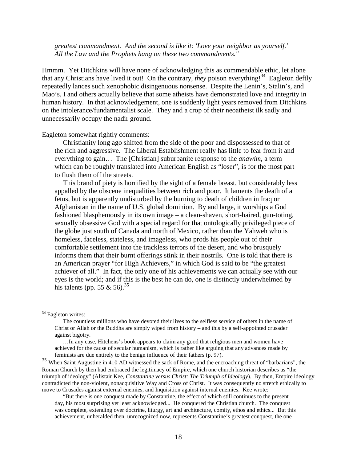## *greatest commandment. And the second is like it: 'Love your neighbor as yourself.' All the Law and the Prophets hang on these two commandments."*

Hmmm. Yet Ditchkins will have none of acknowledging this as commendable ethic, let alone that any Christians have lived it out! On the contrary, *they* poison everything!<sup>[34](#page-17-0)</sup> Eagleton deftly repeatedly lances such xenophobic disingenuous nonsense. Despite the Lenin's, Stalin's, and Mao's, I and others actually believe that some atheists have demonstrated love and integrity in human history. In that acknowledgement, one is suddenly light years removed from Ditchkins on the intolerance/fundamentalist scale. They and a crop of their neoatheist ilk sadly and unnecessarily occupy the nadir ground.

#### Eagleton somewhat rightly comments:

Christianity long ago shifted from the side of the poor and dispossessed to that of the rich and aggressive. The Liberal Establishment really has little to fear from it and everything to gain… The [Christian] suburbanite response to the *anawim*, a term which can be roughly translated into American English as "loser", is for the most part to flush them off the streets.

This brand of piety is horrified by the sight of a female breast, but considerably less appalled by the obscene inequalities between rich and poor. It laments the death of a fetus, but is apparently undisturbed by the burning to death of children in Iraq or Afghanistan in the name of U.S. global dominion. By and large, it worships a God fashioned blasphemously in its own image – a clean-shaven, short-haired, gun-toting, sexually obsessive God with a special regard for that ontologically privileged piece of the globe just south of Canada and north of Mexico, rather than the Yahweh who is homeless, faceless, stateless, and imageless, who prods his people out of their comfortable settlement into the trackless terrors of the desert, and who brusquely informs them that their burnt offerings stink in their nostrils. One is told that there is an American prayer "for High Achievers," in which God is said to be "the greatest achiever of all." In fact, the only one of his achievements we can actually see with our eyes is the world; and if this is the best he can do, one is distinctly underwhelmed by histalents (pp. 55  $\&$  56).<sup>35</sup>

<span id="page-17-0"></span><sup>&</sup>lt;sup>34</sup> Eagleton writes:

The countless millions who have devoted their lives to the selfless service of others in the name of Christ or Allah or the Buddha are simply wiped from history – and this by a self-appointed crusader against bigotry.

<sup>…</sup>In any case, Hitchens's book appears to claim any good that religious men and women have achieved for the cause of secular humanism, which is rather like arguing that any advances made by feminists are due entirely to the benign influence of their fathers (p. 97).

<span id="page-17-1"></span><sup>&</sup>lt;sup>35</sup> When Saint Augustine in 410 AD witnessed the sack of Rome, and the encroaching threat of "barbarians", the Roman Church by then had embraced the legitimacy of Empire, which one church historian describes as "the triumph of ideology" (Alistair Kee, *Constantine versus Christ: The Triumph of Ideology*). By then, Empire ideology contradicted the non-violent, nonacquisitive Way and Cross of Christ. It was consequently no stretch ethically to move to Crusades against external enemies, and Inquisition against internal enemies. Kee wrote:

<sup>&</sup>quot;But there is one conquest made by Constantine, the effect of which still continues to the present day, his most surprising yet least acknowledged... He conquered the Christian church. The conquest was complete, extending over doctrine, liturgy, art and architecture, comity, ethos and ethics... But this achievement, unheralded then, unrecognized now, represents Constantine's greatest conquest, the one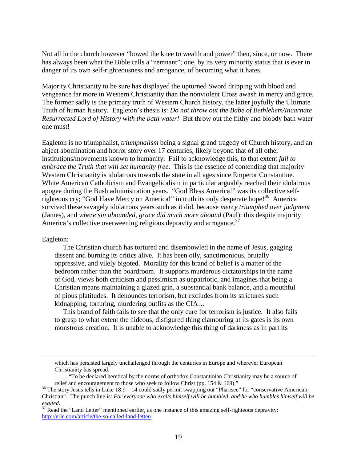Not all in the church however "bowed the knee to wealth and power" then, since, or now. There has always been what the Bible calls a "remnant"; one, by its very minority status that is ever in danger of its own self-righteousness and arrogance, of becoming what it hates.

Majority Christianity to be sure has displayed the upturned Sword dripping with blood and vengeance far more in Western Christianity than the nonviolent Cross awash in mercy and grace. The former sadly is the primary truth of Western Church history, the latter joyfully the Ultimate Truth of human history. Eagleton's thesis is: *Do not throw out the Babe of Bethlehem/Incarnate Resurrected Lord of History with the bath water!* But throw out the filthy and bloody bath water one must!

Eagleton is no triumphalist, *triumphalism* being a signal grand tragedy of Church history, and an abject abomination and horror story over 17 centuries, likely beyond that of all other institutions/movements known to humanity. Fail to acknowledge this, to that extent *fail to embrace the Truth that will set humanity free*. This is the essence of contending that majority Western Christianity is idolatrous towards the state in all ages since Emperor Constantine. White American Catholicism and Evangelicalism in particular arguably reached their idolatrous apogee during the Bush administration years. "God Bless America!" was its collective self-righteous cry; "God Have Mercy on America!" in truth its only desperate hope!<sup>[36](#page-18-0)</sup> America survived these savagely idolatrous years such as it did, because *mercy triumphed over judgment* (James), and *where sin abounded, grace did much more abound* (Paul): this despite majority America's collective overweening religious depravity and arrogance.<sup>[37](#page-18-1)</sup>

#### Eagleton:

The Christian church has tortured and disembowled in the name of Jesus, gagging dissent and burning its critics alive. It has been oily, sanctimonious, brutally oppressive, and vilely bigoted. Morality for this brand of belief is a matter of the bedroom rather than the boardroom. It supports murderous dictatorships in the name of God, views both criticism and pessimism as unpatriotic, and imagines that being a Christian means maintaining a glazed grin, a substantial bank balance, and a mouthful of pious platitudes. It denounces terrorism, but excludes from its strictures such kidnapping, torturing, murdering outfits as the CIA…

This brand of faith fails to see that the only cure for terrorism is justice. It also fails to grasp to what extent the hideous, disfigured thing clamouring at its gates is its own monstrous creation. It is unable to acknowledge this thing of darkness as in part its

which has persisted largely unchallenged through the centuries in Europe and wherever European Christianity has spread.

<sup>…&</sup>quot;To be declared heretical by the norms of orthodox Constantinian Christianity may be a source of relief and encouragement to those who seek to follow Christ (pp. 154 & 169)."

<span id="page-18-0"></span> $36$  The story Jesus tells in Luke  $18:9 - 14$  could sadly permit swapping out "Pharisee" for "conservative American Christian". The punch line is: *For everyone who exalts himself will be humbled, and he who humbles himself will be exalted.*

<span id="page-18-1"></span> $37$  Read the "Land Letter" mentioned earlier, as one instance of this amazing self-righteous depravity: http://erlc.com/article/the-so-called-land-letter/.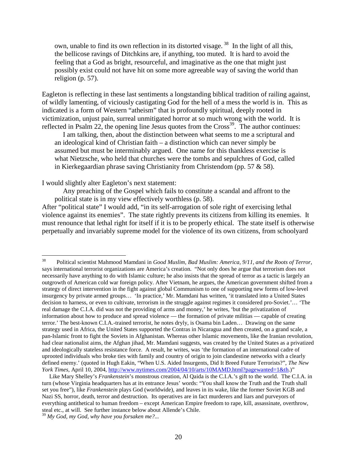own, unable to find its own reflection in its distorted visage.<sup>[38](#page-19-0)</sup> In the light of all this, the bellicose ravings of Ditchkins are, if anything, too muted. It is hard to avoid the feeling that a God as bright, resourceful, and imaginative as the one that might just possibly exist could not have hit on some more agreeable way of saving the world than religion (p. 57).

Eagleton is reflecting in these last sentiments a longstanding biblical tradition of railing against, of wildly lamenting, of viciously castigating God for the hell of a mess the world is in. This as indicated is a form of Western "atheism" that is profoundly spiritual, deeply rooted in victimization, unjust pain, surreal unmitigated horror at so much wrong with the world. It is reflected in Psalm 22, the opening line Jesus quotes from the  $Cross<sup>39</sup>$ [.](#page-19-1) The author continues:

I am talking, then, about the distinction between what seems to me a scriptural and an ideological kind of Christian faith – a distinction which can never simply be assumed but must be interminably argued. One name for this thankless exercise is what Nietzsche, who held that churches were the tombs and sepulchres of God, called in Kierkegaardian phrase saving Christianity from Christendom (pp. 57 & 58).

I would slightly alter Eagleton's next statement:

Any preaching of the Gospel which fails to constitute a scandal and affront to the political state is in my view effectively worthless (p. 58).

After "political state" I would add, "in its self-arrogation of sole right of exercising lethal violence against its enemies". The state rightly prevents its citizens from killing its enemies. It must renounce that lethal right for itself if it is to be properly ethical. The state itself is otherwise perpetually and invariably supreme model for the violence of its own citizens, from schoolyard

<span id="page-19-0"></span><sup>38</sup> Political scientist Mahmood Mamdani in *Good Muslim, Bad Muslim: America, 9/11, and the Roots of Terror*, says international terrorist organizations are America's creation. "Not only does he argue that terrorism does not necessarily have anything to do with Islamic culture; he also insists that the spread of terror as a tactic is largely an outgrowth of American cold war foreign policy. After Vietnam, he argues, the American government shifted from a strategy of direct intervention in the fight against global Communism to one of supporting new forms of low-level insurgency by private armed groups… 'In practice,' Mr. Mamdani has written, 'it translated into a United States decision to harness, or even to cultivate, terrorism in the struggle against regimes it considered pro-Soviet.'… 'The real damage the C.I.A. did was not the providing of arms and money,' he writes, 'but the privatization of information about how to produce and spread violence — the formation of private militias — capable of creating terror.' The best-known C.I.A.-trained terrorist, he notes dryly, is Osama bin Laden… Drawing on the same strategy used in Africa, the United States supported the Contras in Nicaragua and then created, on a grand scale, a pan-Islamic front to fight the Soviets in Afghanistan. Whereas other Islamic movements, like the Iranian revolution, had clear nationalist aims, the Afghan jihad, Mr. Mamdani suggests, was created by the United States as a privatized and ideologically stateless resistance force. A result, he writes, was 'the formation of an international cadre of uprooted individuals who broke ties with family and country of origin to join clandestine networks with a clearly defined enemy.' (quoted in Hugh Eakin, "When U.S. Aided Insurgents, Did It Breed Future Terrorists?", *The New York Times*, April 10, 2004, http://www.nytimes.com/2004/04/10/arts/10MAMD.html?pagewanted=1&th.)"

Like Mary Shelley's *Frankenstein*'s monstrous creation*,* Al Qaida is the C.I.A.'s gift to the world. The C.I.A. in turn (whose Virginia headquarters has at its entrance Jesus' words: "You shall know the Truth and the Truth shall set you free"), like *Frankenstein* plays God (worldwide), and leaves in its wake, like the former Soviet KGB and Nazi SS, horror, death, terror and destruction. Its operatives are in fact murderers and liars and purveyors of everything antithetical to human freedom – except American Empire freedom to rape, kill, assassinate, overthrow, steal etc., at will. See further instance below about Allende's Chile.

<span id="page-19-1"></span><sup>39</sup> *My God, my God, why have you forsaken me?...*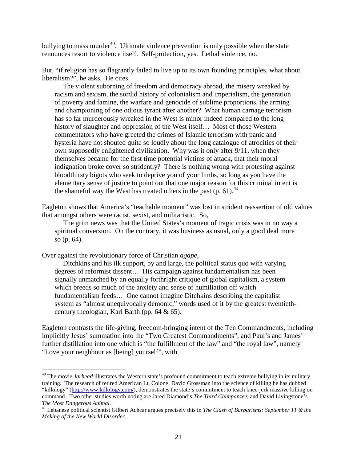bullying to mass murder<sup>[40](#page-20-0)</sup>. Ultimate violence prevention is only possible when the state renounces resort to violence itself. Self-protection, yes. Lethal violence, no.

But, "if religion has so flagrantly failed to live up to its own founding principles, what about liberalism?", he asks. He cites

The violent suborning of freedom and democracy abroad, the misery wreaked by racism and sexism, the sordid history of colonialism and imperialism, the generation of poverty and famine, the warfare and genocide of sublime proportions, the arming and championing of one odious tyrant after another? What human carnage terrorism has so far murderously wreaked in the West is minor indeed compared to the long history of slaughter and oppression of the West itself… Most of those Western commentators who have greeted the crimes of Islamic terrorism with panic and hysteria have not shouted quite so loudly about the long catalogue of atrocities of their own supposedly enlightened civilization. Why was it only after 9/11, when they themselves became for the first time potential victims of attack, that their moral indignation broke cover so stridently? There is nothing wrong with protesting against bloodthirsty bigots who seek to deprive you of your limbs, so long as you have the elementary sense of justice to point out that one major reason for this criminal intent is theshameful way the West has treated others in the past  $(p. 61)$ .<sup>41</sup>

Eagleton shows that America's "teachable moment" was lost in strident reassertion of old values that amongst others were racist, sexist, and militaristic. So,

The grim news was that the United States's moment of tragic crisis was in no way a spiritual conversion. On the contrary, it was business as usual, only a good deal more so (p. 64).

Over against the revolutionary force of Christian *agape*,

Ditchkins and his ilk support, by and large, the political status quo with varying degrees of reformist dissent… His campaign against fundamentalism has been signally unmatched by an equally forthright critique of global capitalism, a system which breeds so much of the anxiety and sense of humiliation off which fundamentalism feeds… One cannot imagine Ditchkins describing the capitalist system as "almost unequivocally demonic," words used of it by the greatest twentiethcentury theologian, Karl Barth (pp. 64 & 65).

Eagleton contrasts the life-giving, freedom-bringing intent of the Ten Commandments, including implicitly Jesus' summation into the "Two Greatest Commandments", and Paul's and James' further distillation into one which is "the fulfillment of the law" and "the royal law", namely "Love your neighbour as [being] yourself", with

<span id="page-20-0"></span><sup>&</sup>lt;sup>40</sup> The movie *Jarhead* illustrates the Western state's profound commitment to teach extreme bullying in its military training. The research of retired American Lt. Colonel David Grossman into the science of killing he has dubbed "killology" (http://www.killology.com/), demonstrates the state's commitment to teach knee-jerk massive killing on command. Two other studies worth noting are Jared Diamond's *The Third Chimpanzee*, and David Livingstone's *The Most Dangerous Animal*.

<span id="page-20-1"></span><sup>41</sup> Lebanese political scientist Gilbert Achcar argues precisely this in *The Clash of Barbarisms: September 11 & the Making of the New World Disorder*.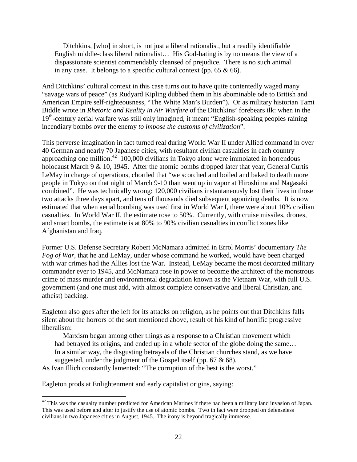Ditchkins, [who] in short, is not just a liberal rationalist, but a readily identifiable English middle-class liberal rationalist… His God-hating is by no means the view of a dispassionate scientist commendably cleansed of prejudice. There is no such animal in any case. It belongs to a specific cultural context (pp.  $65 \& 66$ ).

And Ditchkins' cultural context in this case turns out to have quite contentedly waged many "savage wars of peace" (as Rudyard Kipling dubbed them in his abominable ode to British and American Empire self-righteousness, "The White Man's Burden"). Or as military historian Tami Biddle wrote in *Rhetoric and Reality in Air Warfare* of the Ditchkins' forebears ilk: when in the 19<sup>th</sup>-century aerial warfare was still only imagined, it meant "English-speaking peoples raining incendiary bombs over the enemy *to impose the customs of civilization*".

This perverse imagination in fact turned real during World War II under Allied command in over 40 German and nearly 70 Japanese cities, with resultant civilian casualties in each country approaching one million.<sup>[42](#page-21-0)</sup> 100,000 civilians in Tokyo alone were immolated in horrendous holocaust March 9 & 10, 1945. After the atomic bombs dropped later that year, General Curtis LeMay in charge of operations, chortled that "we scorched and boiled and baked to death more people in Tokyo on that night of March 9-10 than went up in vapor at Hiroshima and Nagasaki combined". He was technically wrong: 120,000 civilians instantaneously lost their lives in those two attacks three days apart, and tens of thousands died subsequent agonizing deaths. It is now estimated that when aerial bombing was used first in World War I, there were about 10% civilian casualties. In World War II, the estimate rose to 50%. Currently, with cruise missiles, drones, and smart bombs, the estimate is at 80% to 90% civilian casualties in conflict zones like Afghanistan and Iraq.

Former U.S. Defense Secretary Robert McNamara admitted in Errol Morris' documentary *The Fog of War*, that he and LeMay, under whose command he worked, would have been charged with war crimes had the Allies lost the War. Instead, LeMay became the most decorated military commander ever to 1945, and McNamara rose in power to become the architect of the monstrous crime of mass murder and environmental degradation known as the Vietnam War, with full U.S. government (and one must add, with almost complete conservative and liberal Christian, and atheist) backing.

Eagleton also goes after the left for its attacks on religion, as he points out that Ditchkins falls silent about the horrors of the sort mentioned above, result of his kind of horrific progressive liberalism:

Marxism began among other things as a response to a Christian movement which had betrayed its origins, and ended up in a whole sector of the globe doing the same... In a similar way, the disgusting betrayals of the Christian churches stand, as we have suggested, under the judgment of the Gospel itself (pp. 67 & 68).

As Ivan Illich constantly lamented: "The corruption of the best is the worst."

Eagleton prods at Enlightenment and early capitalist origins, saying:

<span id="page-21-0"></span> $42$  This was the casualty number predicted for American Marines if there had been a military land invasion of Japan. This was used before and after to justify the use of atomic bombs. Two in fact were dropped on defenseless civilians in two Japanese cities in August, 1945. The irony is beyond tragically immense.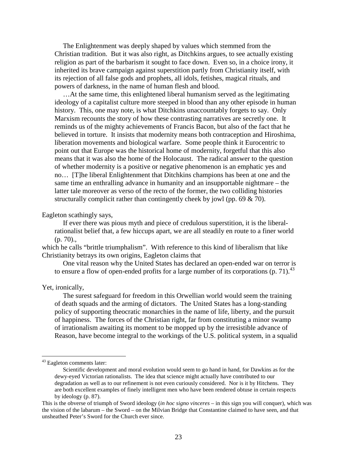The Enlightenment was deeply shaped by values which stemmed from the Christian tradition. But it was also right, as Ditchkins argues, to see actually existing religion as part of the barbarism it sought to face down. Even so, in a choice irony, it inherited its brave campaign against superstition partly from Christianity itself, with its rejection of all false gods and prophets, all idols, fetishes, magical rituals, and powers of darkness, in the name of human flesh and blood.

…At the same time, this enlightened liberal humanism served as the legitimating ideology of a capitalist culture more steeped in blood than any other episode in human history. This, one may note, is what Ditchkins unaccountably forgets to say. Only Marxism recounts the story of how these contrasting narratives are secretly one. It reminds us of the mighty achievements of Francis Bacon, but also of the fact that he believed in torture. It insists that modernity means both contraception and Hiroshima, liberation movements and biological warfare. Some people think it Eurocentric to point out that Europe was the historical home of modernity, forgetful that this also means that it was also the home of the Holocaust. The radical answer to the question of whether modernity is a positive or negative phenomenon is an emphatic yes and no… [T]he liberal Enlightenment that Ditchkins champions has been at one and the same time an enthralling advance in humanity and an insupportable nightmare – the latter tale moreover as verso of the recto of the former, the two colliding histories structurally complicit rather than contingently cheek by jowl (pp. 69 & 70).

## Eagleton scathingly says,

If ever there was pious myth and piece of credulous superstition, it is the liberalrationalist belief that, a few hiccups apart, we are all steadily en route to a finer world  $(p. 70)$ .,

which he calls "brittle triumphalism". With reference to this kind of liberalism that like Christianity betrays its own origins, Eagleton claims that

One vital reason why the United States has declared an open-ended war on terror is toensure a flow of open-ended profits for a large number of its corporations  $(p. 71)$ .<sup>43</sup>

#### Yet, ironically,

The surest safeguard for freedom in this Orwellian world would seem the training of death squads and the arming of dictators. The United States has a long-standing policy of supporting theocratic monarchies in the name of life, liberty, and the pursuit of happiness. The forces of the Christian right, far from constituting a minor swamp of irrationalism awaiting its moment to be mopped up by the irresistible advance of Reason, have become integral to the workings of the U.S. political system, in a squalid

<span id="page-22-0"></span><sup>43</sup> Eagleton comments later:

Scientific development and moral evolution would seem to go hand in hand, for Dawkins as for the dewy-eyed Victorian rationalists. The idea that science might actually have contributed to our degradation as well as to our refinement is not even curiously considered. Nor is it by Hitchens. They are both excellent examples of finely intelligent men who have been rendered obtuse in certain respects by ideology (p. 87).

This is the obverse of triumph of Sword ideology (*in hoc signo vinceres* – in this sign you will conquer), which was the vision of the labarum – the Sword – on the Milvian Bridge that Constantine claimed to have seen, and that unsheathed Peter's Sword for the Church ever since.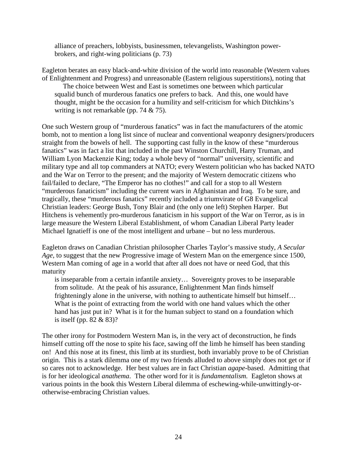alliance of preachers, lobbyists, businessmen, televangelists, Washington powerbrokers, and right-wing politicians (p. 73)

Eagleton berates an easy black-and-white division of the world into reasonable (Western values of Enlightenment and Progress) and unreasonable (Eastern religious superstitions), noting that

The choice between West and East is sometimes one between which particular squalid bunch of murderous fanatics one prefers to back. And this, one would have thought, might be the occasion for a humility and self-criticism for which Ditchkins's writing is not remarkable (pp. 74 & 75).

One such Western group of "murderous fanatics" was in fact the manufacturers of the atomic bomb, not to mention a long list since of nuclear and conventional weaponry designers/producers straight from the bowels of hell. The supporting cast fully in the know of these "murderous fanatics" was in fact a list that included in the past Winston Churchill, Harry Truman, and William Lyon Mackenzie King; today a whole bevy of "normal" university, scientific and military type and all top commanders at NATO; every Western politician who has backed NATO and the War on Terror to the present; and the majority of Western democratic citizens who fail/failed to declare, "The Emperor has no clothes!" and call for a stop to all Western "murderous fanaticism" including the current wars in Afghanistan and Iraq. To be sure, and tragically, these "murderous fanatics" recently included a triumvirate of G8 Evangelical Christian leaders: George Bush, Tony Blair and (the only one left) Stephen Harper. But Hitchens is vehemently pro-murderous fanaticism in his support of the War on Terror, as is in large measure the Western Liberal Establishment, of whom Canadian Liberal Party leader Michael Ignatieff is one of the most intelligent and urbane – but no less murderous.

Eagleton draws on Canadian Christian philosopher Charles Taylor's massive study, *A Secular Age*, to suggest that the new Progressive image of Western Man on the emergence since 1500, Western Man coming of age in a world that after all does not have or need God, that this maturity

is inseparable from a certain infantile anxiety… Sovereignty proves to be inseparable from solitude. At the peak of his assurance, Enlightenment Man finds himself frighteningly alone in the universe, with nothing to authenticate himself but himself… What is the point of extracting from the world with one hand values which the other hand has just put in? What is it for the human subject to stand on a foundation which is itself (pp. 82 & 83)?

The other irony for Postmodern Western Man is, in the very act of deconstruction, he finds himself cutting off the nose to spite his face, sawing off the limb he himself has been standing on! And this nose at its finest, this limb at its sturdiest, both invariably prove to be of Christian origin. This is a stark dilemma one of my two friends alluded to above simply does not get or if so cares not to acknowledge. Her best values are in fact Christian *agape*-based. Admitting that is for her ideological *anathema*. The other word for it is *fundamentalism.* Eagleton shows at various points in the book this Western Liberal dilemma of eschewing-while-unwittingly-orotherwise-embracing Christian values.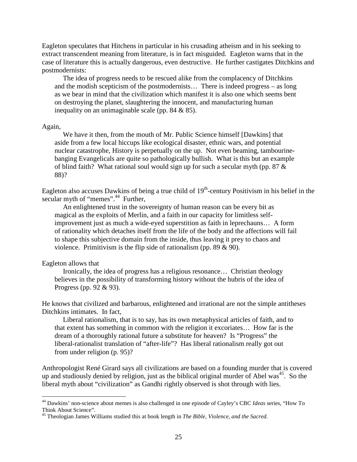Eagleton speculates that Hitchens in particular in his crusading atheism and in his seeking to extract transcendent meaning from literature, is in fact misguided. Eagleton warns that in the case of literature this is actually dangerous, even destructive. He further castigates Ditchkins and postmodernists:

The idea of progress needs to be rescued alike from the complacency of Ditchkins and the modish scepticism of the postmodernists… There is indeed progress – as long as we bear in mind that the civilization which manifest it is also one which seems bent on destroying the planet, slaughtering the innocent, and manufacturing human inequality on an unimaginable scale (pp. 84 & 85).

#### Again,

We have it then, from the mouth of Mr. Public Science himself [Dawkins] that aside from a few local hiccups like ecological disaster, ethnic wars, and potential nuclear catastrophe, History is perpetually on the up. Not even beaming, tambourinebanging Evangelicals are quite so pathologically bullish. What is this but an example of blind faith? What rational soul would sign up for such a secular myth (pp. 87 & 88)?

Eagleton also accuses Dawkins of being a true child of 19<sup>th</sup>-century Positivism in his belief in the secular myth of "memes".<sup>[44](#page-24-0)</sup> Further,

An enlightened trust in the sovereignty of human reason can be every bit as magical as the exploits of Merlin, and a faith in our capacity for limitless selfimprovement just as much a wide-eyed superstition as faith in leprechauns… A form of rationality which detaches itself from the life of the body and the affections will fail to shape this subjective domain from the inside, thus leaving it prey to chaos and violence. Primitivism is the flip side of rationalism (pp.  $89 \& 90$ ).

## Eagleton allows that

Ironically, the idea of progress has a religious resonance… Christian theology believes in the possibility of transforming history without the hubris of the idea of Progress (pp. 92 & 93).

He knows that civilized and barbarous, enlightened and irrational are not the simple antitheses Ditchkins intimates. In fact,

Liberal rationalism, that is to say, has its own metaphysical articles of faith, and to that extent has something in common with the religion it excoriates… How far is the dream of a thoroughly rational future a substitute for heaven? Is "Progress" the liberal-rationalist translation of "after-life"? Has liberal rationalism really got out from under religion (p. 95)?

Anthropologist René Girard says all civilizations are based on a founding murder that is covered upand studiously denied by religion, just as the biblical original murder of Abel was<sup>45</sup>. So the liberal myth about "civilization" as Gandhi rightly observed is shot through with lies.

<span id="page-24-0"></span><sup>44</sup> Dawkins' non-science about memes is also challenged in one episode of Cayley's CBC *Ideas* series, "How To Think About Science".

<span id="page-24-1"></span><sup>45</sup> Theologian James Williams studied this at book length in *The Bible, Violence, and the Sacred.*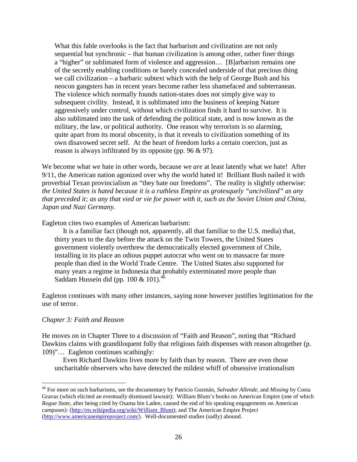What this fable overlooks is the fact that barbarism and civilization are not only sequential but synchronic – that human civilization is among other, rather finer things a "higher" or sublimated form of violence and aggression… [B]arbarism remains one of the secretly enabling conditions or barely concealed underside of that precious thing we call civilization – a barbaric subtext which with the help of George Bush and his neocon gangsters has in recent years become rather less shamefaced and subterranean. The violence which normally founds nation-states does not simply give way to subsequent civility. Instead, it is sublimated into the business of keeping Nature aggressively under control, without which civilization finds it hard to survive. It is also sublimated into the task of defending the political state, and is now known as the military, the law, or political authority. One reason why terrorism is so alarming, quite apart from its moral obscenity, is that it reveals to civilization something of its own disavowed secret self. At the heart of freedom lurks a certain coercion, just as reason is always infiltrated by its opposite (pp. 96 & 97).

We become what we hate in other words, because we *are* at least latently what we hate! After 9/11, the American nation agonized over why the world hated it! Brilliant Bush nailed it with proverbial Texan provincialism as "they hate our freedoms". The reality is slightly otherwise: *the United States is hated because it is a ruthless Empire as grotesquely "uncivilized" as any that preceded it; as any that vied or vie for power with it, such as the Soviet Union and China, Japan and Nazi Germany.*

Eagleton cites two examples of American barbarism:

It is a familiar fact (though not, apparently, all that familiar to the U.S. media) that, thirty years to the day before the attack on the Twin Towers, the United States government violently overthrew the democratically elected government of Chile, installing in its place an odious puppet autocrat who went on to massacre far more people than died in the World Trade Centre. The United States also supported for many years a regime in Indonesia that probably exterminated more people than Saddam Hussein did (pp.  $100 \& 101$ ).<sup>[46](#page-25-0)</sup>

Eagleton continues with many other instances, saying none however justifies legitimation for the use of terror.

## *Chapter 3: Faith and Reason*

He moves on in Chapter Three to a discussion of "Faith and Reason", noting that "Richard Dawkins claims with grandiloquent folly that religious faith dispenses with reason altogether (p. 109)"… Eagleton continues scathingly:

Even Richard Dawkins lives more by faith than by reason. There are even those uncharitable observers who have detected the mildest whiff of obsessive irrationalism

<span id="page-25-0"></span><sup>46</sup> For more on such barbarisms, see the documentary by Patricio Guzmán, *Salvador Allende*, and *Missing* by Costa Gravas (which elicited an eventually dismissed lawsuit); William Blum's books on American Empire (one of which *Rogue State*, after being cited by Osama bin Laden, caused the end of his speaking engagements on American campuses): (http://en.wikipedia.org/wiki/William\_Blum); and The American Empire Project (http://www.americanempireproject.com/). Well-documented studies (sadly) abound.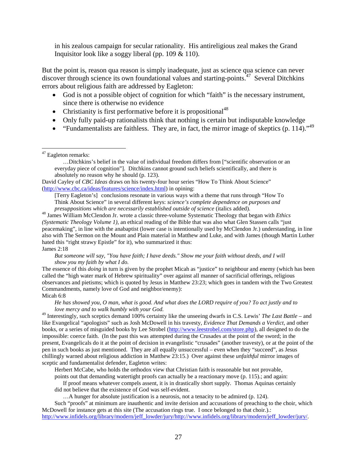in his zealous campaign for secular rationality. His antireligious zeal makes the Grand Inquisitor look like a soggy liberal (pp. 109 & 110).

But the point is, reason qua reason is simply inadequate, just as science qua science can never discover through science its own foundational values and starting-points.<sup>[47](#page-26-0)</sup> Several Ditchkins errors about religious faith are addressed by Eagleton:

- God is not a possible object of cognition for which "faith" is the necessary instrument, since there is otherwise no evidence
- Christianity is first performative before it is propositional<sup>[48](#page-26-1)</sup>
- Only fully paid-up rationalists think that nothing is certain but indisputable knowledge
- "Fundamentalists are faithless. They are, in fact, the mirror image of skeptics  $(p. 114)$ ."<sup>[49](#page-26-2)</sup>

David Cayley of *CBC Ideas* draws on his twenty-four hour series "How To Think About Science" (http://www.cbc.ca/ideas/features/science/index.html) in opining:

[Terry Eagleton's] conclusions resonate in various ways with a theme that runs through "How To Think About Science" in several different keys: *science's complete dependence on purposes and presuppositions which are necessarily established outside of science* (italics added)*.*

<span id="page-26-1"></span><sup>48</sup> James William McClendon Jr. wrote a classic three-volume Systematic Theology that began with *Ethics (Systematic Theology Volume 1)*, an ethical reading of the Bible that was also what Glen Stassen calls "just peacemaking", in line with the anabaptist (lower case is intentionally used by McClendon Jr.) understanding, in line also with The Sermon on the Mount and Plain material in Matthew and Luke, and with James (though Martin Luther hated this "right strawy Epistle" for it), who summarized it thus: James 2:18

#### *But someone will say, "You have faith; I have deeds." Show me your faith without deeds, and I will show you my faith by what I do.*

The essence of this *doing* in turn is given by the prophet Micah as "justice" to neighbour and enemy (which has been called the "high water mark of Hebrew spirituality" over against all manner of sacrificial offerings, religious observances and pietisms; which is quoted by Jesus in Matthew 23:23; which goes in tandem with the Two Greatest Commandments, namely love of God and neighbor/enemy):

#### Micah 6:8

*He has showed you, O man, what is good. And what does the LORD require of you? To act justly and to love mercy and to walk humbly with your God.*

<span id="page-26-2"></span><sup>49</sup> Interestingly, such sceptics demand 100% certainty like the unseeing dwarfs in C.S. Lewis' *The Last Battle* – and like Evangelical "apologists" such as Josh McDowell in his travesty, *Evidence That Demands a Verdict*, and other books, or a series of misguided books by Lee Strobel (http://www.leestrobel.com/store.php), all designed to do the impossible: coerce faith. (In the past this was attempted during the Crusades at the point of the sword; in the present, Evangelicals do it at the point of decision in evangelistic "crusades" (another travesty), or at the point of the pen in such books as just mentioned. They are all equally unsuccessful – even when they "succeed", as Jesus chillingly warned about religious addiction in Matthew 23:15.) Over against these *unfaithful* mirror images of sceptic and fundamentalist defender, Eagleton writes:

Herbert McCabe, who holds the orthodox view that Christian faith is reasonable but not provable,

points out that demanding watertight proofs can actually be a reactionary move (p. 115).; and again: If proof means whatever compels assent, it is in drastically short supply. Thomas Aquinas certainly did not believe that the existence of God was self-evident.

…A hunger for absolute justification is a neurosis, not a tenacity to be admired (p. 124).

Such "proofs" at minimum are inauthentic and invite derision and accusations of preaching to the choir, which McDowell for instance gets at this site (The accusation rings true. I once belonged to that choir.).: http://www.infidels.org/library/modern/jeff\_lowder/jury/http://www.infidels.org/library/modern/jeff\_lowder/jury/.

<span id="page-26-0"></span><sup>47</sup> Eagleton remarks:

<sup>…</sup>Ditchkins's belief in the value of individual freedom differs from ["scientific observation or an everyday piece of cognition"]. Ditchkins cannot ground such beliefs scientifically, and there is absolutely no reason why he should (p. 123).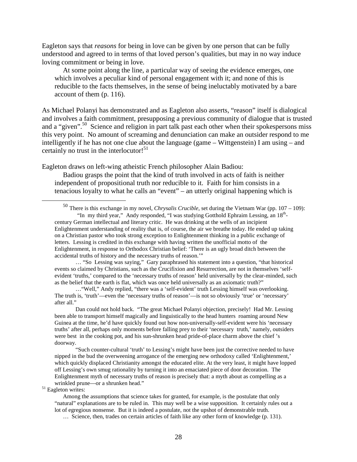Eagleton says that *reasons* for being in love can be given by one person that can be fully understood and agreed to in terms of that loved person's qualities, but may in no way induce loving commitment or being in love.

At some point along the line, a particular way of seeing the evidence emerges, one which involves a peculiar kind of personal engagement with it; and none of this is reducible to the facts themselves, in the sense of being ineluctably motivated by a bare account of them (p. 116).

As Michael Polanyi has demonstrated and as Eagleton also asserts, "reason" itself is dialogical and involves a faith commitment, presupposing a previous community of dialogue that is trusted and a "given".<sup>[50](#page-27-0)</sup> Science and religion in part talk past each other when their spokespersons miss this very point. No amount of screaming and denunciation can make an outsider respond to me intelligently if he has not one clue about the language (game – Wittgenstein) I am using – and certainly no trust in the interlocutor!<sup>[51](#page-27-1)</sup>

Eagleton draws on left-wing atheistic French philosopher Alain Badiou:

Badiou grasps the point that the kind of truth involved in acts of faith is neither independent of propositional truth nor reducible to it. Faith for him consists in a tenacious loyalty to what he calls an "event" – an utterly original happening which is

<span id="page-27-1"></span><sup>51</sup> Eagleton writes:

<span id="page-27-0"></span><sup>&</sup>lt;sup>50</sup> There is this exchange in my novel, *Chrysalis Crucible*, set during the Vietnam War (pp. 107 – 109): "In my third year," Andy responded, "I was studying Gotthold Ephraim Lessing, an  $18<sup>th</sup>$ -

century German intellectual and literary critic. He was drinking at the wells of an incipient Enlightenment understanding of reality that is, of course, the air we breathe today. He ended up taking on a Christian pastor who took strong exception to Enlightenment thinking in a public exchange of letters. Lessing is credited in this exchange with having written the unofficial motto of the Enlightenment, in response to Orthodox Christian belief: 'There is an ugly broad ditch between the accidental truths of history and the necessary truths of reason.'"

<sup>… &</sup>quot;So Lessing was saying," Gary paraphrased his statement into a question, "that historical events so claimed by Christians, such as the Crucifixion and Resurrection, are not in themselves 'selfevident 'truths,' compared to the 'necessary truths of reason' held universally by the clear-minded, such as the belief that the earth is flat, which was once held universally as an axiomatic truth?"

<sup>…&</sup>quot;Well," Andy replied, "there was a 'self-evident' truth Lessing himself was overlooking. The truth is, 'truth'—even the 'necessary truths of reason'—is not so obviously 'true' or 'necessary' after all."

Dan could not hold back. "The great Michael Polanyi objection, precisely! Had Mr. Lessing been able to transport himself magically and linguistically to the head hunters roaming around New Guinea at the time, he'd have quickly found out how non-universally-self-evident were his 'necessary truths' after all, perhaps only moments before falling prey to their 'necessary truth,' namely, outsiders were best in the cooking pot, and his sun-shrunken head pride-of-place charm above the chief 's doorway.

<sup>&</sup>quot;Such counter-cultural 'truth' to Lessing's might have been just the corrective needed to have nipped in the bud the overweening arrogance of the emerging new orthodoxy called 'Enlightenment,' which quickly displaced Christianity amongst the educated elite. At the very least, it might have lopped off Lessing's own smug rationality by turning it into an emaciated piece of door decoration. The Enlightenment myth of necessary truths of reason is precisely that: a myth about as compelling as a wrinkled prune—or a shrunken head."

Among the assumptions that science takes for granted, for example, is the postulate that only "natural" explanations are to be ruled in. This may well be a wise supposition. It certainly rules out a lot of egregious nonsense. But it is indeed a postulate, not the upshot of demonstrable truth.

<sup>…</sup> Science, then, trades on certain articles of faith like any other form of knowledge (p. 131).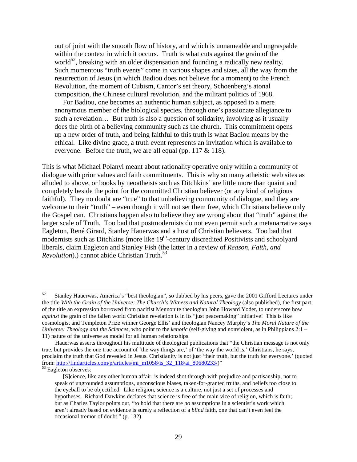out of joint with the smooth flow of history, and which is unnameable and ungraspable within the context in which it occurs. Truth is what cuts against the grain of the world<sup>[52](#page-28-0)</sup>, breaking with an older dispensation and founding a radically new reality. Such momentous "truth events" come in various shapes and sizes, all the way from the resurrection of Jesus (in which Badiou does not believe for a moment) to the French Revolution, the moment of Cubism, Cantor's set theory, Schoenberg's atonal composition, the Chinese cultural revolution, and the militant politics of 1968.

For Badiou, one becomes an authentic human subject, as opposed to a mere anonymous member of the biological species, through one's passionate allegiance to such a revelation… But truth is also a question of solidarity, involving as it usually does the birth of a believing community such as the church. This commitment opens up a new order of truth, and being faithful to this truth is what Badiou means by the ethical. Like divine grace, a truth event represents an invitation which is available to everyone. Before the truth, we are all equal (pp. 117 & 118).

This is what Michael Polanyi meant about rationality operative only within a community of dialogue with prior values and faith commitments. This is why so many atheistic web sites as alluded to above, or books by neoatheists such as Ditchkins' are little more than quaint and completely beside the point for the committed Christian believer (or any kind of religious faithful). They no doubt are "true" to that unbelieving community of dialogue, and they are welcome to their "truth" – even though it will not set them free, which Christians believe only the Gospel can. Christians happen also to believe they are wrong about that "truth" against the larger scale of Truth. Too bad that postmodernists do not even permit such a metanarrative says Eagleton, René Girard, Stanley Hauerwas and a host of Christian believers. Too bad that modernists such as Ditchkins (more like 19<sup>th</sup>-century discredited Positivists and schoolyard liberals, claim Eagleton and Stanley Fish (the latter in a review of *Reason, Faith, and Revolution*).) cannot abide Christian Truth.<sup>[53](#page-28-1)</sup>

<span id="page-28-1"></span><sup>53</sup> Eagleton observes:

<span id="page-28-0"></span><sup>&</sup>lt;sup>52</sup> Stanley Hauerwas, America's "best theologian", so dubbed by his peers, gave the 2001 Gifford Lectures under the title *With the Grain of the Universe: The Church's Witness and Natural Theology* (also published), the first part of the title an expression borrowed from pacifist Mennonite theologian John Howard Yoder, to underscore how *against* the grain of the fallen world Christian revelation is in its "just peacemaking" initiative! This is like cosmologist and Templeton Prize winner George Ellis' and theologian Nancey Murphy's *The Moral Nature of the Universe: Theology and the Sciences*, who point to the *kenotic* (self-giving and nonviolent, as in Philippians 2:1 – 11) nature of the universe as model for all human relationships.

Hauerwas asserts throughout his multitude of theological publications that "the Christian message is not only true, but provides the one true account of 'the way things are,' of 'the way the world is.' Christians, he says, proclaim the truth that God revealed in Jesus. Christianity is not just 'their truth, but the truth for everyone.' (quoted from: http://findarticles.com/p/articles/mi\_m1058/is\_32\_118/ai\_80680233/)"

<sup>[</sup>S]cience, like any other human affair, is indeed shot through with prejudice and partisanship, not to speak of ungrounded assumptions, unconscious biases, taken-for-granted truths, and beliefs too close to the eyeball to be objectified. Like religion, science is a culture, not just a set of processes and hypotheses. Richard Dawkins declares that science is free of the main vice of religion, which is faith; but as Charles Taylor points out, "to hold that there are *no* assumptions in a scientist's work which aren't already based on evidence is surely a reflection of a *blind* faith, one that can't even feel the occasional tremor of doubt." (p. 132)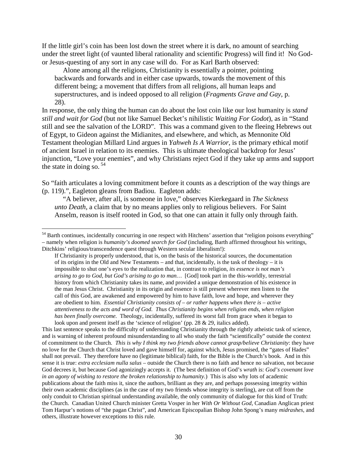If the little girl's coin has been lost down the street where it is dark, no amount of searching under the street light (of vaunted liberal rationality and scientific Progress) will find it! No Godor Jesus-questing of any sort in any case will do. For as Karl Barth observed:

Alone among all the religions, Christianity is essentially a pointer, pointing backwards and forwards and in either case upwards, towards the movement of this different being; a movement that differs from all religions, all human leaps and superstructures, and is indeed opposed to all religion (*Fragments Grave and Gay*, p. 28).

In response, the only thing the human can do about the lost coin like our lost humanity is *stand still and wait for God* (but not like Samuel Becket's nihilistic *Waiting For Godot*), as in "Stand still and see the salvation of the LORD". This was a command given to the fleeing Hebrews out of Egypt, to Gideon against the Midianites, and elsewhere, and which, as Mennonite Old Testament theologian Millard Lind argues in *Yahweh Is A Warrior*, is the primary ethical motif of ancient Israel in relation to its enemies. This is ultimate theological backdrop for Jesus' injunction, "Love your enemies", and why Christians reject God if they take up arms and support the state in doingso. <sup>54</sup>

So "faith articulates a loving commitment before it counts as a description of the way things are (p. 119).", Eagleton gleans from Badiou. Eagleton adds:

"A believer, after all, is someone in love," observes Kierkegaard in *The Sickness unto Death*, a claim that by no means applies only to religious believers. For Saint Anselm, reason is itself rooted in God, so that one can attain it fully only through faith.

This last sentence speaks to the difficulty of understanding Christianity through the rightly atheistic task of science, and is warning of inherent profound misunderstanding to all who study the faith "scientifically" outside the context of commitment to the Church. *This is why I think my two friends above cannot grasp/believe Christianity*: they have no love for the Church that Christ loved and gave himself for, against which, Jesus promised, the "gates of Hades" shall not prevail. They therefore have no (legitimate biblical) faith, for the Bible is the Church's book. And in this sense it is true: *extra ecclesiam nulla salus* – outside the Church there is no faith and hence no salvation, not because God decrees it, but because God agonizingly accepts it. (The best definition of God's *wrath* is: *God's covenant love in an agony of wishing to restore the broken relationship to humanity.*) This is also why lots of academic publications about the faith miss it, since the authors, brilliant as they are, and perhaps possessing integrity within their own academic disciplines (as in the case of my two friends whose integrity is sterling), are cut off from the only conduit to Christian spiritual understanding available, the only community of dialogue for this kind of Truth: the Church. Canadian United Church minister Gretta Vosper in her *With Or Without God*, Canadian Anglican priest Tom Harpur's notions of "the pagan Christ", and American Episcopalian Bishop John Spong's many *midrashes*, and others, illustrate however exceptions to this rule.

<span id="page-29-0"></span><sup>&</sup>lt;sup>54</sup> Barth continues, incidentally concurring in one respect with Hitchens' assertion that "religion poisons everything" – namely when religion is *humanity's doomed search for God* (including, Barth affirmed throughout his writings, Ditchkins' religious/transcendence quest through Western secular liberalism!):

If Christianity is properly understood, that is, on the basis of the historical sources, the documentation of its origins in the Old and New Testaments – and that, incidentally, is the task of theology – it is impossible to shut one's eyes to the realization that, in contrast to religion, *its essence is not man's arising to go to God, but God's arising to go to man…* [God] took part in the this-worldly, terrestrial history from which Christianity takes its name, and provided a unique demonstration of his existence in the man Jesus Christ. Christianity in its origin and essence is still present wherever men listen to the call of this God, are awakened and empowered by him to have faith, love and hope, and wherever they are obedient to him. *Essential Christianity consists of – or rather happens when there is – active attentiveness to the acts and word of God. Thus Christianity begins when religion ends, when religion has been finally overcome.* Theology, incidentally, suffered its worst fall from grace when it began to look upon and present itself as the 'science of religion' (pp. 28 & 29, italics added).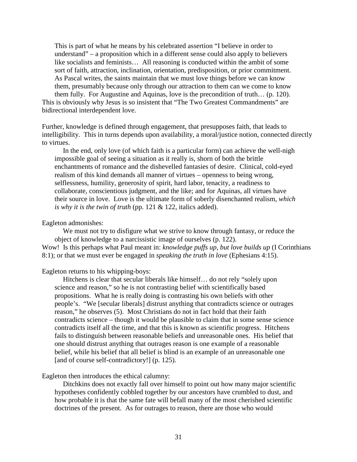This is part of what he means by his celebrated assertion "I believe in order to understand" – a proposition which in a different sense could also apply to believers like socialists and feminists… All reasoning is conducted within the ambit of some sort of faith, attraction, inclination, orientation, predisposition, or prior commitment. As Pascal writes, the saints maintain that we must love things before we can know them, presumably because only through our attraction to them can we come to know them fully. For Augustine and Aquinas, love is the precondition of truth… (p. 120). This is obviously why Jesus is so insistent that "The Two Greatest Commandments" are bidirectional interdependent love.

Further, knowledge is defined through engagement, that presupposes faith, that leads to intelligibility. This in turns depends upon availability, a moral/justice notion, connected directly to virtues.

In the end, only love (of which faith is a particular form) can achieve the well-nigh impossible goal of seeing a situation as it really is, shorn of both the brittle enchantments of romance and the dishevelled fantasies of desire. Clinical, cold-eyed realism of this kind demands all manner of virtues – openness to being wrong, selflessness, humility, generosity of spirit, hard labor, tenacity, a readiness to collaborate, conscientious judgment, and the like; and for Aquinas, all virtues have their source in love. Love is the ultimate form of soberly disenchanted realism, *which is why it is the twin of truth* (pp. 121 & 122, italics added).

## Eagleton admonishes:

We must not try to disfigure what we strive to know through fantasy, or reduce the object of knowledge to a narcissistic image of ourselves (p. 122). Wow! Is this perhaps what Paul meant in: *knowledge puffs up, but love builds up* (I Corinthians 8:1); or that we must ever be engaged in *speaking the truth in love* (Ephesians 4:15).

## Eagleton returns to his whipping-boys:

Hitchens is clear that secular liberals like himself… do not rely "solely upon science and reason," so he is not contrasting belief with scientifically based propositions. What he is really doing is contrasting his own beliefs with other people's. "We [secular liberals] distrust anything that contradicts science or outrages reason," he observes (5). Most Christians do not in fact hold that their faith contradicts science – though it would be plausible to claim that in some sense science contradicts itself all the time, and that this is known as scientific progress. Hitchens fails to distinguish between reasonable beliefs and unreasonable ones. His belief that one should distrust anything that outrages reason is one example of a reasonable belief, while his belief that all belief is blind is an example of an unreasonable one [and of course self-contradictory!] (p. 125).

## Eagleton then introduces the ethical calumny:

Ditchkins does not exactly fall over himself to point out how many major scientific hypotheses confidently cobbled together by our ancestors have crumbled to dust, and how probable it is that the same fate will befall many of the most cherished scientific doctrines of the present. As for outrages to reason, there are those who would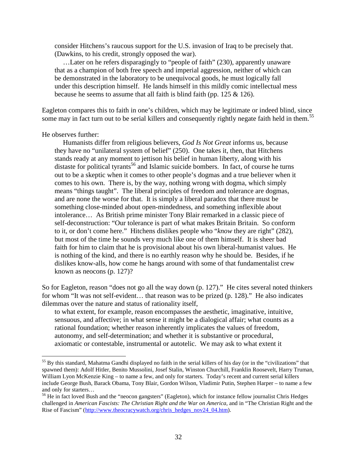consider Hitchens's raucous support for the U.S. invasion of Iraq to be precisely that. (Dawkins, to his credit, strongly opposed the war).

…Later on he refers disparagingly to "people of faith" (230), apparently unaware that as a champion of both free speech and imperial aggression, neither of which can be demonstrated in the laboratory to be unequivocal goods, he must logically fall under this description himself. He lands himself in this mildly comic intellectual mess because he seems to assume that all faith is blind faith (pp.  $125 \& 126$ ).

Eagleton compares this to faith in one's children, which may be legitimate or indeed blind, since some may in fact turn out to be serial killers and consequently rightly negate faith held in them.<sup>[55](#page-31-0)</sup>

He observes further:

Humanists differ from religious believers, *God Is Not Great* informs us, because they have no "unilateral system of belief" (250). One takes it, then, that Hitchens stands ready at any moment to jettison his belief in human liberty, along with his distaste for political tyrants<sup>[56](#page-31-1)</sup> and Islamic suicide bombers. In fact, of course he turns out to be a skeptic when it comes to other people's dogmas and a true believer when it comes to his own. There is, by the way, nothing wrong with dogma, which simply means "things taught". The liberal principles of freedom and tolerance are dogmas, and are none the worse for that. It is simply a liberal paradox that there must be something close-minded about open-mindedness, and something inflexible about intolerance… As British prime minister Tony Blair remarked in a classic piece of self-deconstruction: "Our tolerance is part of what makes Britain Britain. So conform to it, or don't come here." Hitchens dislikes people who "*know* they are right" (282), but most of the time he sounds very much like one of them himself. It is sheer bad faith for him to claim that he is provisional about his own liberal-humanist values. He is nothing of the kind, and there is no earthly reason why he should be. Besides, if he dislikes know-alls, how come he hangs around with some of that fundamentalist crew known as neocons (p. 127)?

So for Eagleton, reason "does not go all the way down (p. 127)." He cites several noted thinkers for whom "It was not self-evident… that reason was to be prized (p. 128)." He also indicates dilemmas over the nature and status of rationality itself,

to what extent, for example, reason encompasses the aesthetic, imaginative, intuitive, sensuous, and affective; in what sense it might be a dialogical affair; what counts as a rational foundation; whether reason inherently implicates the values of freedom, autonomy, and self-determination; and whether it is substantive or procedural, axiomatic or contestable, instrumental or autotelic. We may ask to what extent it

<span id="page-31-0"></span><sup>&</sup>lt;sup>55</sup> By this standard, Mahatma Gandhi displayed no faith in the serial killers of his day (or in the "civilizations" that spawned them): Adolf Hitler, Benito Mussolini, Josef Stalin, Winston Churchill, Franklin Roosevelt, Harry Truman, William Lyon McKenzie King – to name a few, and only for starters. Today's recent and current serial killers include George Bush, Barack Obama, Tony Blair, Gordon Wilson, Vladimir Putin, Stephen Harper – to name a few and only for starters...<br><sup>56</sup> He in fact loved Bush and the "neocon gangsters" (Eagleton), which for instance fellow journalist Chris Hedges

<span id="page-31-1"></span>challenged in *American Fascists: The Christian Right and the War on America*, and in "The Christian Right and the Rise of Fascism" (http://www.theocracywatch.org/chris\_hedges\_nov24\_04.htm).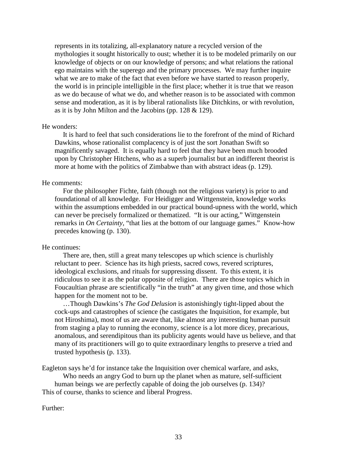represents in its totalizing, all-explanatory nature a recycled version of the mythologies it sought historically to oust; whether it is to be modeled primarily on our knowledge of objects or on our knowledge of persons; and what relations the rational ego maintains with the superego and the primary processes. We may further inquire what we are to make of the fact that even before we have started to reason properly, the world is in principle intelligible in the first place; whether it is true that we reason as we do because of what we do, and whether reason is to be associated with common sense and moderation, as it is by liberal rationalists like Ditchkins, or with revolution, as it is by John Milton and the Jacobins (pp. 128 & 129).

#### He wonders:

It is hard to feel that such considerations lie to the forefront of the mind of Richard Dawkins, whose rationalist complacency is of just the sort Jonathan Swift so magnificently savaged. It is equally hard to feel that they have been much brooded upon by Christopher Hitchens, who as a superb journalist but an indifferent theorist is more at home with the politics of Zimbabwe than with abstract ideas (p. 129).

#### He comments:

For the philosopher Fichte, faith (though not the religious variety) is prior to and foundational of all knowledge. For Heidigger and Wittgenstein, knowledge works within the assumptions embedded in our practical bound-upness with the world, which can never be precisely formalized or thematized. "It is our acting," Wittgenstein remarks in *On Certainty*, "that lies at the bottom of our language games." Know-how precedes knowing (p. 130).

## He continues:

There are, then, still a great many telescopes up which science is churlishly reluctant to peer. Science has its high priests, sacred cows, revered scriptures, ideological exclusions, and rituals for suppressing dissent. To this extent, it is ridiculous to see it as the polar opposite of religion. There are those topics which in Foucaultian phrase are scientifically "in the truth" at any given time, and those which happen for the moment not to be.

…Though Dawkins's *The God Delusion* is astonishingly tight-lipped about the cock-ups and catastrophes of science (he castigates the Inquisition, for example, but not Hiroshima), most of us are aware that, like almost any interesting human pursuit from staging a play to running the economy, science is a lot more dicey, precarious, anomalous, and serendipitous than its publicity agents would have us believe, and that many of its practitioners will go to quite extraordinary lengths to preserve a tried and trusted hypothesis (p. 133).

Eagleton says he'd for instance take the Inquisition over chemical warfare, and asks,

Who needs an angry God to burn up the planet when as mature, self-sufficient human beings we are perfectly capable of doing the job ourselves (p. 134)? This of course, thanks to science and liberal Progress.

Further: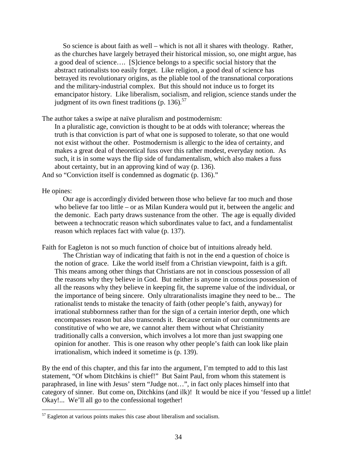So science is about faith as well – which is not all it shares with theology. Rather, as the churches have largely betrayed their historical mission, so, one might argue, has a good deal of science…. [S]cience belongs to a specific social history that the abstract rationalists too easily forget. Like religion, a good deal of science has betrayed its revolutionary origins, as the pliable tool of the transnational corporations and the military-industrial complex. But this should not induce us to forget its emancipator history. Like liberalism, socialism, and religion, science stands under the judgment of its own finest traditions (p. 136). $57$ 

The author takes a swipe at naïve pluralism and postmodernism:

In a pluralistic age, conviction is thought to be at odds with tolerance; whereas the truth is that conviction is part of what one is supposed to tolerate, so that one would not exist without the other. Postmodernism is allergic to the idea of certainty, and makes a great deal of theoretical fuss over this rather modest, everyday notion. As such, it is in some ways the flip side of fundamentalism, which also makes a fuss about certainty, but in an approving kind of way (p. 136).

And so "Conviction itself is condemned as dogmatic (p. 136)."

He opines:

Our age is accordingly divided between those who believe far too much and those who believe far too little – or as Milan Kundera would put it, between the angelic and the demonic. Each party draws sustenance from the other. The age is equally divided between a technocratic reason which subordinates value to fact, and a fundamentalist reason which replaces fact with value (p. 137).

Faith for Eagleton is not so much function of choice but of intuitions already held.

The Christian way of indicating that faith is not in the end a question of choice is the notion of grace. Like the world itself from a Christian viewpoint, faith is a gift. This means among other things that Christians are not in conscious possession of all the reasons why they believe in God. But neither is anyone in conscious possession of all the reasons why they believe in keeping fit, the supreme value of the individual, or the importance of being sincere. Only ultrarationalists imagine they need to be... The rationalist tends to mistake the tenacity of faith (other people's faith, anyway) for irrational stubbornness rather than for the sign of a certain interior depth, one which encompasses reason but also transcends it. Because certain of our commitments are constitutive of who we are, we cannot alter them without what Christianity traditionally calls a conversion, which involves a lot more than just swapping one opinion for another. This is one reason why other people's faith can look like plain irrationalism, which indeed it sometime is (p. 139).

By the end of this chapter, and this far into the argument, I'm tempted to add to this last statement, "Of whom Ditchkins is chief!" But Saint Paul, from whom this statement is paraphrased, in line with Jesus' stern "Judge not…", in fact only places himself into that category of sinner. But come on, Ditchkins (and ilk)! It would be nice if you 'fessed up a little! Okay!... We'll all go to the confessional together!

<span id="page-33-0"></span> $57$  Eagleton at various points makes this case about liberalism and socialism.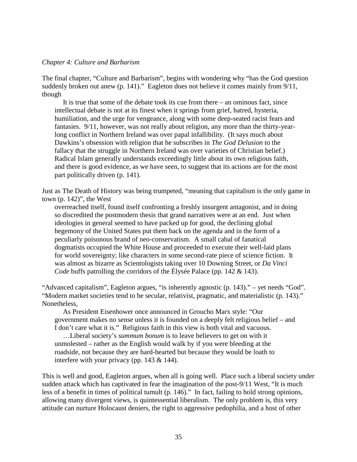## *Chapter 4: Culture and Barbarism*

The final chapter, "Culture and Barbarism", begins with wondering why "has the God question suddenly broken out anew (p. 141)." Eagleton does not believe it comes mainly from 9/11, though

It is true that some of the debate took its cue from there – an ominous fact, since intellectual debate is not at its finest when it springs from grief, hatred, hysteria, humiliation, and the urge for vengeance, along with some deep-seated racist fears and fantasies. 9/11, however, was not really about religion, any more than the thirty-yearlong conflict in Northern Ireland was over papal infallibility. (It says much about Dawkins's obsession with religion that he subscribes in *The God Delusion* to the fallacy that the struggle in Northern Ireland was over varieties of Christian belief.) Radical Islam generally understands exceedingly little about its own religious faith, and there is good evidence, as we have seen, to suggest that its actions are for the most part politically driven (p. 141).

Just as The Death of History was being trumpeted, "meaning that capitalism is the only game in town (p. 142)", the West

overreached itself, found itself confronting a freshly insurgent antagonist, and in doing so discredited the postmodern thesis that grand narratives were at an end. Just when ideologies in general seemed to have packed up for good, the declining global hegemony of the United States put them back on the agenda and in the form of a peculiarly poisonous brand of neo-conservatism. A small cabal of fanatical dogmatists occupied the White House and proceeded to execute their well-laid plans for world sovereignty; like characters in some second-rate piece of science fiction. It was almost as bizarre as Scientologists taking over 10 Downing Street, or *Da Vinci Code* buffs patrolling the corridors of the Élysée Palace (pp. 142 & 143).

"Advanced capitalism", Eagleton argues, "is inherently agnostic (p. 143)." – yet needs "God". "Modern market societies tend to be secular, relativist, pragmatic, and materialistic (p. 143)." Nonetheless,

As President Eisenhower once announced in Groucho Marx style: "Our government makes no sense unless it is founded on a deeply felt religious belief – and I don't care what it is." Religious faith in this view is both vital and vacuous.

…Liberal society's *summum bonum* is to leave believers to get on with it unmolested – rather as the English would walk by if you were bleeding at the roadside, not because they are hard-hearted but because they would be loath to interfere with your privacy (pp. 143 & 144).

This is well and good, Eagleton argues, when all is going well. Place such a liberal society under sudden attack which has captivated in fear the imagination of the post-9/11 West, "It is much less of a benefit in times of political tumult (p. 146)." In fact, failing to hold strong opinions, allowing many divergent views, is quintessential liberalism. The only problem is, this very attitude can nurture Holocaust deniers, the right to aggressive pedophilia, and a host of other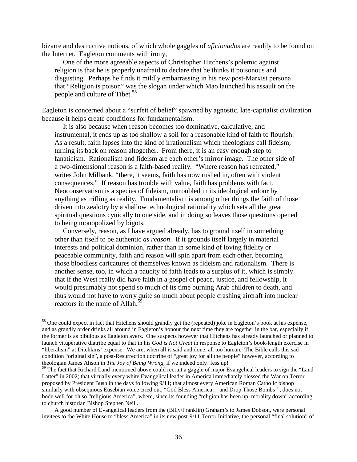bizarre and destructive notions, of which whole gaggles of *aficionados* are readily to be found on the Internet. Eagleton comments with irony,

One of the more agreeable aspects of Christopher Hitchens's polemic against religion is that he is properly unafraid to declare that he thinks it poisonous and disgusting. Perhaps he finds it mildly embarrassing in his new post-Marxist persona that "Religion is poison" was the slogan under which Mao launched his assault on the people and culture of Tibet.<sup>[58](#page-35-0)</sup>

Eagleton is concerned about a "surfeit of belief" spawned by agnostic, late-capitalist civilization because it helps create conditions for fundamentalism.

It is also because when reason becomes too dominative, calculative, and instrumental, it ends up as too shallow a soil for a reasonable kind of faith to flourish. As a result, faith lapses into the kind of irrationalism which theologians call fideism, turning its back on reason altogether. From there, it is an easy enough step to fanaticism. Rationalism and fideism are each other's mirror image. The other side of a two-dimensional reason is a faith-based reality. "Where reason has retreated," writes John Milbank, "there, it seems, faith has now rushed in, often with violent consequences." If reason has trouble with value, faith has problems with fact. Neoconservatism is a species of fideism, untroubled in its ideological ardour by anything as trifling as reality. Fundamentalism is among other things the faith of those driven into zealotry by a shallow technological rationality which sets all the great spiritual questions cynically to one side, and in doing so leaves those questions opened to being monopolized by bigots.

Conversely, reason, as I have argued already, has to ground itself in something other than itself to be authentic *as reason*. If it grounds itself largely in material interests and political dominion, rather than in some kind of loving fidelity or peaceable community, faith and reason will spin apart from each other, becoming those bloodless caricatures of themselves known as fideism and rationalism. There is another sense, too, in which a paucity of faith leads to a surplus of it, which is simply that if the West really did have faith in a gospel of peace, justice, and fellowship, it would presumably not spend so much of its time burning Arab children to death, and thus would not have to worry quite so much about people crashing aircraft into nuclear reactors in the name of Allah.<sup>5</sup>

<span id="page-35-0"></span><sup>&</sup>lt;sup>58</sup> One could expect in fact that Hitchens should grandly get the (repeated) joke in Eagleton's book at his expense, and as grandly order drinks all around in Eagleton's honour the next time they are together in the bar, especially if the former is as bibulous as Eagleton avers. One suspects however that Hitchens has already launched or planned to launch vituperative diatribe equal to that in his *God is Not Great* in response to Eagleton's book-length exercise in "liberalism" at Ditchkins' expense. We are, when all is said and done, all too human. The Bible calls this sad condition "original sin", a post-Resurrection doctrine of "great joy for all the people" however, according to theologian James Alison in *The Joy of Being Wrong*, if we indeed only 'fess up!

<span id="page-35-1"></span><sup>&</sup>lt;sup>59</sup> The fact that Richard Land mentioned above could recruit a gaggle of major Evangelical leaders to sign the "Land Latter" in 2002; that virtually every white Evangelical leader in America immediately blessed the War on Terror proposed by President Bush in the days following 9/11; that almost every American Roman Catholic bishop similarly with obsequious Eusebian voice cried out, "God Bless America… and Drop Those Bombs!", does not bode well for oh so "religious America", where, since its founding "religion has been up, morality down" according to church historian Bishop Stephen Neill.

A good number of Evangelical leaders from the (Billy/Franklin) Graham's to James Dobson, were personal invitees to the White House to "bless America" in its new post-9/11 Terror Initiative, the personal "final solution" of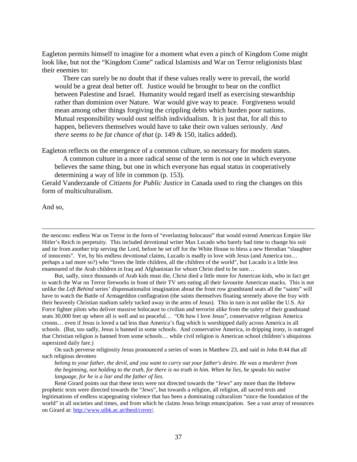Eagleton permits himself to imagine for a moment what even a pinch of Kingdom Come might look like, but not the "Kingdom Come" radical Islamists and War on Terror religionists blast their enemies to:

There can surely be no doubt that if these values really were to prevail, the world would be a great deal better off. Justice would be brought to bear on the conflict between Palestine and Israel. Humanity would regard itself as exercising stewardship rather than dominion over Nature. War would give way to peace. Forgiveness would mean among other things forgiving the crippling debts which burden poor nations. Mutual responsibility would oust selfish individualism. It is just that, for all this to happen, believers themselves would have to take their own values seriously. *And there seems to be fat chance of that* (p. 149 & 150, italics added).

Eagleton reflects on the emergence of a common culture, so necessary for modern states.

A common culture in a more radical sense of the term is not one in which everyone believes the same thing, but one in which everyone has equal status in cooperatively determining a way of life in common (p. 153).

Gerald Vanderzande of *Citizens for Public Justice* in Canada used to ring the changes on this form of multiculturalism.

And so,

But, sadly, since thousands of Arab kids must die, Christ died a little more for American kids, who in fact get to watch the War on Terror fireworks in front of their TV sets eating all their favourite American snacks. This is not unlike the *Left Behind* series' dispensationalist imagination about the front row grandstand seats all the "saints" will have to watch the Battle of Armageddon conflagration (the saints themselves floating serenely above the fray with their heavenly Christian stadium safely tucked away in the arms of Jesus). This in turn is not unlike the U.S. Air Force fighter pilots who deliver massive holocaust to civilian and terrorist alike from the safety of their grandstand seats 30,000 feet up where all is well and so peaceful… "Oh how I love Jesus", conservative religious America croons… even if Jesus is loved a tad less than America's flag which is worshipped daily across America in all schools. (But, too sadly, Jesus is banned in some schools. And conservative America, in dripping irony, is outraged that Christian religion is banned from some schools… while civil religion is American school children's ubiquitous supersized daily fare.)

On such perverse religiosity Jesus pronounced a series of woes in Matthew 23, and said in John 8:44 that all such religious devotees

*belong to your father, the devil, and you want to carry out your father's desire. He was a murderer from the beginning, not holding to the truth, for there is no truth in him. When he lies, he speaks his native language, for he is a liar and the father of lies.*

René Girard points out that these texts were not directed towards the "Jews" any more than the Hebrew prophetic texts were directed towards the "Jews", but towards a religion, all religion, all sacred texts and legitimations of endless scapegoating violence that has been a dominating culturalism "since the foundation of the world" in all societies and times, and from which he claims Jesus brings emancipation. See a vast array of resources on Girard at: http://www.uibk.ac.at/theol/cover/.

the neocons: endless War on Terror in the form of "everlasting holocaust" that would extend American Empire like Hitler's Reich in perpetuity. This included devotional writer Max Lucado who barely had time to change his suit and tie from another trip serving the Lord, before he set off for the White House to bless a new Herodian "slaughter of innocents". Yet, by his endless devotional claims, Lucado is madly in love with Jesus (and America too… perhaps a tad more so?) who "loves the little children, all the children of the world", but Lucado is a little less enamoured of the Arab children in Iraq and Afghanistan for whom Christ died to be sure…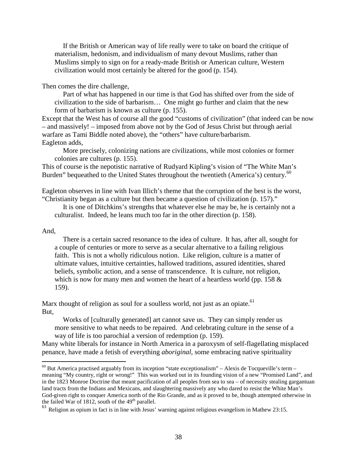If the British or American way of life really were to take on board the critique of materialism, hedonism, and individualism of many devout Muslims, rather than Muslims simply to sign on for a ready-made British or American culture, Western civilization would most certainly be altered for the good (p. 154).

Then comes the dire challenge,

Part of what has happened in our time is that God has shifted over from the side of civilization to the side of barbarism… One might go further and claim that the new form of barbarism is known as culture (p. 155).

Except that the West has of course all the good "customs of civilization" (that indeed can be now – and massively! – imposed from above not by the God of Jesus Christ but through aerial warfare as Tami Biddle noted above), the "others" have culture/barbarism. Eagleton adds,

More precisely, colonizing nations are civilizations, while most colonies or former colonies are cultures (p. 155).

This of course is the nepotistic narrative of Rudyard Kipling's vision of "The White Man's Burden" bequeathed to the United States throughout the twentieth (America's) century.<sup>[60](#page-37-0)</sup>

Eagleton observes in line with Ivan Illich's theme that the corruption of the best is the worst, "Christianity began as a culture but then became a question of civilization (p. 157)."

It is one of Ditchkins's strengths that whatever else he may be, he is certainly not a culturalist. Indeed, he leans much too far in the other direction (p. 158).

### And,

There is a certain sacred resonance to the idea of culture. It has, after all, sought for a couple of centuries or more to serve as a secular alternative to a failing religious faith. This is not a wholly ridiculous notion. Like religion, culture is a matter of ultimate values, intuitive certainties, hallowed traditions, assured identities, shared beliefs, symbolic action, and a sense of transcendence. It is culture, not religion, which is now for many men and women the heart of a heartless world (pp. 158  $\&$ 159).

Marx thought of religion as soul for a soulless world, not just as an opiate.<sup>[61](#page-37-1)</sup> But,

Works of [culturally generated] art cannot save us. They can simply render us more sensitive to what needs to be repaired. And celebrating culture in the sense of a way of life is too parochial a version of redemption (p. 159).

Many white liberals for instance in North America in a paroxysm of self-flagellating misplaced penance, have made a fetish of everything *aboriginal*, some embracing native spirituality

<span id="page-37-0"></span> $60$  But America practised arguably from its inception "state exceptionalism" – Alexis de Tocqueville's term – meaning "My country, right or wrong!" This was worked out in its founding vision of a new "Promised Land", and in the 1823 Monroe Doctrine that meant pacification of all peoples from sea to sea – of necessity stealing gargantuan land tracts from the Indians and Mexicans, and slaughtering massively any who dared to resist the White Man's God-given right to conquer America north of the Rio Grande, and as it proved to be, though attempted otherwise in the failed War of 1812, south of the  $49<sup>th</sup>$  parallel.

<span id="page-37-1"></span><sup>&</sup>lt;sup>61</sup> Religion as opium in fact is in line with Jesus' warning against religious evangelism in Mathew 23:15.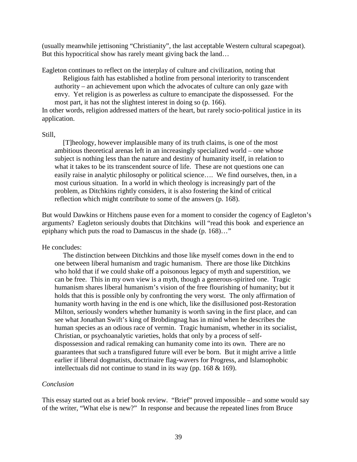(usually meanwhile jettisoning "Christianity", the last acceptable Western cultural scapegoat). But this hypocritical show has rarely meant giving back the land...

Eagleton continues to reflect on the interplay of culture and civilization, noting that

Religious faith has established a hotline from personal interiority to transcendent authority – an achievement upon which the advocates of culture can only gaze with envy. Yet religion is as powerless as culture to emancipate the dispossessed. For the most part, it has not the slightest interest in doing so (p. 166).

In other words, religion addressed matters of the heart, but rarely socio-political justice in its application.

## Still,

[T]heology, however implausible many of its truth claims, is one of the most ambitious theoretical arenas left in an increasingly specialized world – one whose subject is nothing less than the nature and destiny of humanity itself, in relation to what it takes to be its transcendent source of life. These are not questions one can easily raise in analytic philosophy or political science…. We find ourselves, then, in a most curious situation. In a world in which theology is increasingly part of the problem, as Ditchkins rightly considers, it is also fostering the kind of critical reflection which might contribute to some of the answers (p. 168).

But would Dawkins or Hitchens pause even for a moment to consider the cogency of Eagleton's arguments? Eagleton seriously doubts that Ditchkins will "read this book and experience an epiphany which puts the road to Damascus in the shade (p. 168)…"

# He concludes:

The distinction between Ditchkins and those like myself comes down in the end to one between liberal humanism and tragic humanism. There are those like Ditchkins who hold that if we could shake off a poisonous legacy of myth and superstition, we can be free. This in my own view is a myth, though a generous-spirited one. Tragic humanism shares liberal humanism's vision of the free flourishing of humanity; but it holds that this is possible only by confronting the very worst. The only affirmation of humanity worth having in the end is one which, like the disillusioned post-Restoration Milton, seriously wonders whether humanity is worth saving in the first place, and can see what Jonathan Swift's king of Brobdingnag has in mind when he describes the human species as an odious race of vermin. Tragic humanism, whether in its socialist, Christian, or psychoanalytic varieties, holds that only by a process of selfdispossession and radical remaking can humanity come into its own. There are no guarantees that such a transfigured future will ever be born. But it might arrive a little earlier if liberal dogmatists, doctrinaire flag-wavers for Progress, and Islamophobic intellectuals did not continue to stand in its way (pp. 168 & 169).

# *Conclusion*

This essay started out as a brief book review. "Brief" proved impossible – and some would say of the writer, "What else is new?" In response and because the repeated lines from Bruce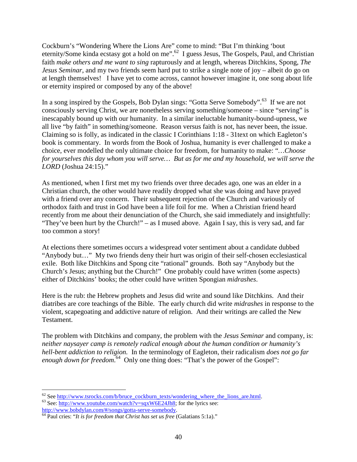Cockburn's "Wondering Where the Lions Are" come to mind: "But I'm thinking 'bout eternity/Somekinda ecstasy got a hold on me"[.](#page-39-0)<sup>62</sup> I guess Jesus, The Gospels, Paul, and Christian faith *make others and me want to sing* rapturously and at length, whereas Ditchkins, Spong, *The Jesus Seminar*, and my two friends seem hard put to strike a single note of joy – albeit do go on at length themselves! I have yet to come across, cannot however imagine it, one song about life or eternity inspired or composed by any of the above!

In a song inspired by the Gospels, Bob Dylan sings: "Gotta Serve Somebody".<sup>[63](#page-39-1)</sup> If we are not consciously serving Christ, we are nonetheless serving something/someone – since "serving" is inescapably bound up with our humanity. In a similar ineluctable humanity-bound-upness, we all live "by faith" in something/someone. Reason versus faith is not, has never been, the issue. Claiming so is folly, as indicated in the classic I Corinthians 1:18 - 31text on which Eagleton's book is commentary. In words from the Book of Joshua, humanity is ever challenged to make a choice, ever modelled the only ultimate choice for freedom, for humanity to make: "*…Choose for yourselves this day whom you will serve… But as for me and my household, we will serve the LORD* (Joshua 24:15)."

As mentioned, when I first met my two friends over three decades ago, one was an elder in a Christian church, the other would have readily dropped what she was doing and have prayed with a friend over any concern. Their subsequent rejection of the Church and variously of orthodox faith and trust in God have been a life foil for me. When a Christian friend heard recently from me about their denunciation of the Church, she said immediately and insightfully: "They've been hurt by the Church!" – as I mused above. Again I say, this is very sad, and far too common a story!

At elections there sometimes occurs a widespread voter sentiment about a candidate dubbed "Anybody but…" My two friends deny their hurt was origin of their self-chosen ecclesiastical exile. Both like Ditchkins and Spong cite "rational" grounds. Both say "Anybody but the Church's Jesus; anything but the Church!" One probably could have written (some aspects) either of Ditchkins' books; the other could have written Spongian *midrashes*.

Here is the rub: the Hebrew prophets and Jesus did write and sound like Ditchkins. And their diatribes are core teachings of the Bible. The early church did write *midrashes* in response to the violent, scapegoating and addictive nature of religion. And their writings are called the New Testament.

The problem with Ditchkins and company, the problem with the *Jesus Seminar* and company, is: *neither naysayer camp is remotely radical enough about the human condition or humanity's hell-bent addiction to religion.* In the terminology of Eagleton, their radicalism *does not go far* enough down for freedom.<sup>[64](#page-39-2)</sup> Only one thing does: "That's the power of the Gospel":

<span id="page-39-1"></span><span id="page-39-0"></span> $62$  See http://www.tsrocks.com/b/bruce\_cockburn\_texts/wondering\_where\_the\_lions\_are.html.  $^{63}$  See: http://www.youtube.com/watch?v=sqxW6E24Jh8; for the lyrics see: http://www.bobdylan.com/#/songs/gotta-serve-somebody.

<span id="page-39-2"></span><sup>64</sup> Paul cries: "*It is for freedom that Christ has set us free* (Galatians 5:1a)."